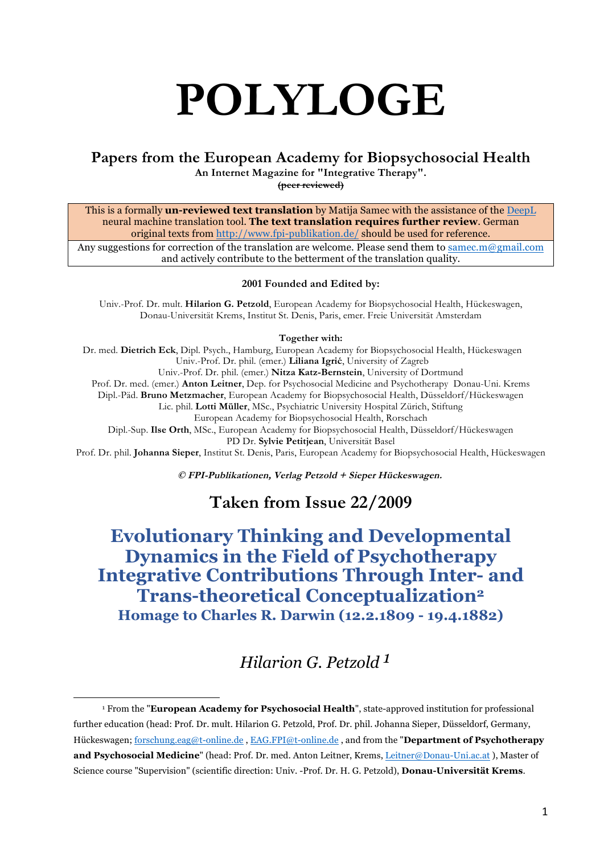# **POLYLOGE**

#### **Papers from the European Academy for Biopsychosocial Health**

**An Internet Magazine for "Integrative Therapy".**

**(peer reviewed)**

This is a formally **un-reviewed text translation** by Matija Samec with the assistance of the DeepL neural machine translation tool. **The text translation requires further review**. German original texts from http://www.fpi-publikation.de/ should be used for reference.

Any suggestions for correction of the translation are welcome. Please send them to samec.m@gmail.com and actively contribute to the betterment of the translation quality.

#### **2001 Founded and Edited by:**

Univ.-Prof. Dr. mult. **Hilarion G. Petzold**, European Academy for Biopsychosocial Health, Hückeswagen, Donau-Universität Krems, Institut St. Denis, Paris, emer. Freie Universität Amsterdam

#### **Together with:**

Dr. med. **Dietrich Eck**, Dipl. Psych., Hamburg, European Academy for Biopsychosocial Health, Hückeswagen Univ.-Prof. Dr. phil. (emer.) **Liliana Igrić**, University of Zagreb

Univ.-Prof. Dr. phil. (emer.) **Nitza Katz-Bernstein**, University of Dortmund Prof. Dr. med. (emer.) **Anton Leitner**, Dep. for Psychosocial Medicine and Psychotherapy Donau-Uni. Krems Dipl.-Päd. **Bruno Metzmacher**, European Academy for Biopsychosocial Health, Düsseldorf/Hückeswagen

Lic. phil. **Lotti Müller**, MSc., Psychiatric University Hospital Zürich, Stiftung

European Academy for Biopsychosocial Health, Rorschach

Dipl.-Sup. **Ilse Orth**, MSc., European Academy for Biopsychosocial Health, Düsseldorf/Hückeswagen PD Dr. **Sylvie Petitjean**, Universität Basel

Prof. Dr. phil. **Johanna Sieper**, Institut St. Denis, Paris, European Academy for Biopsychosocial Health, Hückeswagen

**© FPI-Publikationen, Verlag Petzold <sup>+</sup> Sieper Hückeswagen.** 

#### **Taken from Issue 22/2009**

**Evolutionary Thinking and Developmental Dynamics in the Field of Psychotherapy Integrative Contributions Through Inter- and Trans-theoretical Conceptualization<sup>2</sup> Homage to Charles R. Darwin (12.2.1809 - 19.4.1882)**

## *Hilarion G. Petzold 1*

<sup>1</sup> From the "**European Academy for Psychosocial Health**", state-approved institution for professional further education (head: Prof. Dr. mult. Hilarion G. Petzold, Prof. Dr. phil. Johanna Sieper, Düsseldorf, Germany, Hückeswagen; forschung.eag@t-online.de , EAG.FPI@t-online.de , and from the "**Department of Psychotherapy and Psychosocial Medicine**" (head: Prof. Dr. med. Anton Leitner, Krems, Leitner@Donau-Uni.ac.at ), Master of Science course "Supervision" (scientific direction: Univ. -Prof. Dr. H. G. Petzold), **Donau-Universität Krems**.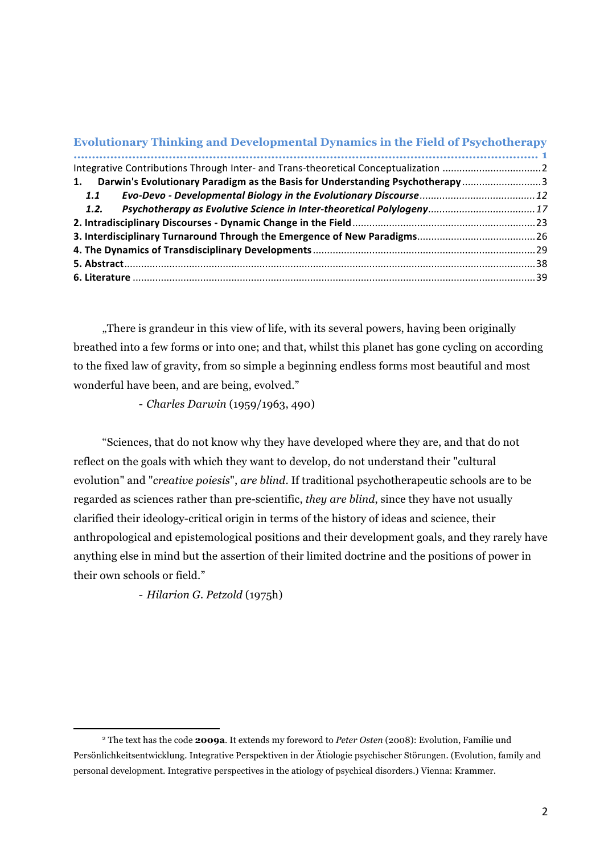| <b>Evolutionary Thinking and Developmental Dynamics in the Field of Psychotherapy</b> |  |
|---------------------------------------------------------------------------------------|--|
|                                                                                       |  |
|                                                                                       |  |
| 1. Darwin's Evolutionary Paradigm as the Basis for Understanding Psychotherapy3       |  |
| 1.1                                                                                   |  |
| 1.2.                                                                                  |  |
|                                                                                       |  |
|                                                                                       |  |
|                                                                                       |  |
|                                                                                       |  |
|                                                                                       |  |

"There is grandeur in this view of life, with its several powers, having been originally breathed into a few forms or into one; and that, whilst this planet has gone cycling on according to the fixed law of gravity, from so simple a beginning endless forms most beautiful and most wonderful have been, and are being, evolved."

- *Charles Darwin* (1959/1963, 490)

"Sciences, that do not know why they have developed where they are, and that do not reflect on the goals with which they want to develop, do not understand their "cultural evolution" and "*creative poiesis*", *are blind*. If traditional psychotherapeutic schools are to be regarded as sciences rather than pre-scientific, *they are blind*, since they have not usually clarified their ideology-critical origin in terms of the history of ideas and science, their anthropological and epistemological positions and their development goals, and they rarely have anything else in mind but the assertion of their limited doctrine and the positions of power in their own schools or field."

- *Hilarion G. Petzold* (1975h)

<sup>2</sup> The text has the code **2009a**. It extends my foreword to *Peter Osten* (2008): Evolution, Familie und Persönlichkeitsentwicklung. Integrative Perspektiven in der Ätiologie psychischer Störungen. (Evolution, family and personal development. Integrative perspectives in the atiology of psychical disorders.) Vienna: Krammer.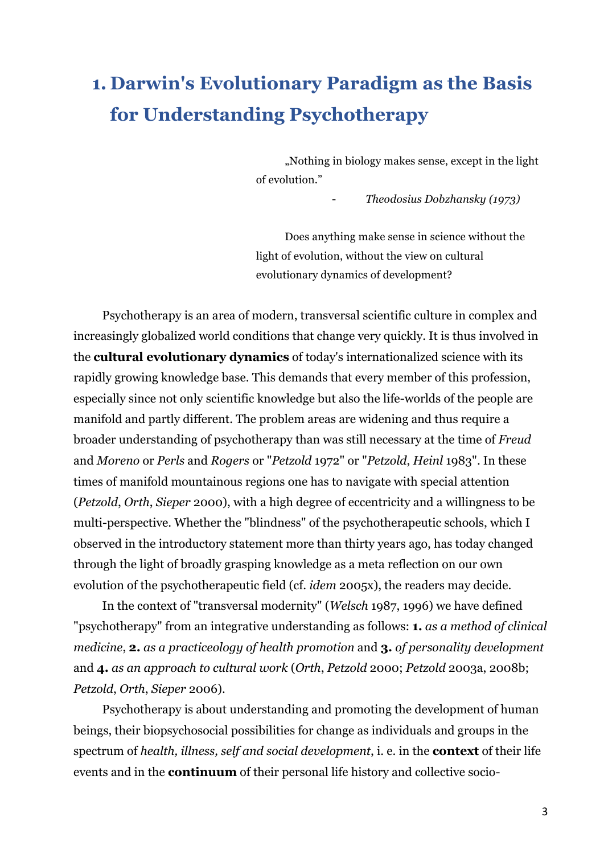# **1. Darwin's Evolutionary Paradigm as the Basis for Understanding Psychotherapy**

"Nothing in biology makes sense, except in the light of evolution."

- *Theodosius Dobzhansky (1973)*

Does anything make sense in science without the light of evolution, without the view on cultural evolutionary dynamics of development?

Psychotherapy is an area of modern, transversal scientific culture in complex and increasingly globalized world conditions that change very quickly. It is thus involved in the **cultural evolutionary dynamics** of today's internationalized science with its rapidly growing knowledge base. This demands that every member of this profession, especially since not only scientific knowledge but also the life-worlds of the people are manifold and partly different. The problem areas are widening and thus require a broader understanding of psychotherapy than was still necessary at the time of *Freud* and *Moreno* or *Perls* and *Rogers* or "*Petzold* 1972" or "*Petzold*, *Heinl* 1983". In these times of manifold mountainous regions one has to navigate with special attention (*Petzold*, *Orth*, *Sieper* 2000), with a high degree of eccentricity and a willingness to be multi-perspective. Whether the "blindness" of the psychotherapeutic schools, which I observed in the introductory statement more than thirty years ago, has today changed through the light of broadly grasping knowledge as a meta reflection on our own evolution of the psychotherapeutic field (cf. *idem* 2005x), the readers may decide.

In the context of "transversal modernity" (*Welsch* 1987, 1996) we have defined "psychotherapy" from an integrative understanding as follows: **1.** *as a method of clinical medicine*, **2.** *as a practiceology of health promotion* and **3.** *of personality development*  and **4.** *as an approach to cultural work* (*Orth*, *Petzold* 2000; *Petzold* 2003a, 2008b; *Petzold*, *Orth*, *Sieper* 2006).

Psychotherapy is about understanding and promoting the development of human beings, their biopsychosocial possibilities for change as individuals and groups in the spectrum of *health, illness, self and social development*, i. e. in the **context** of their life events and in the **continuum** of their personal life history and collective socio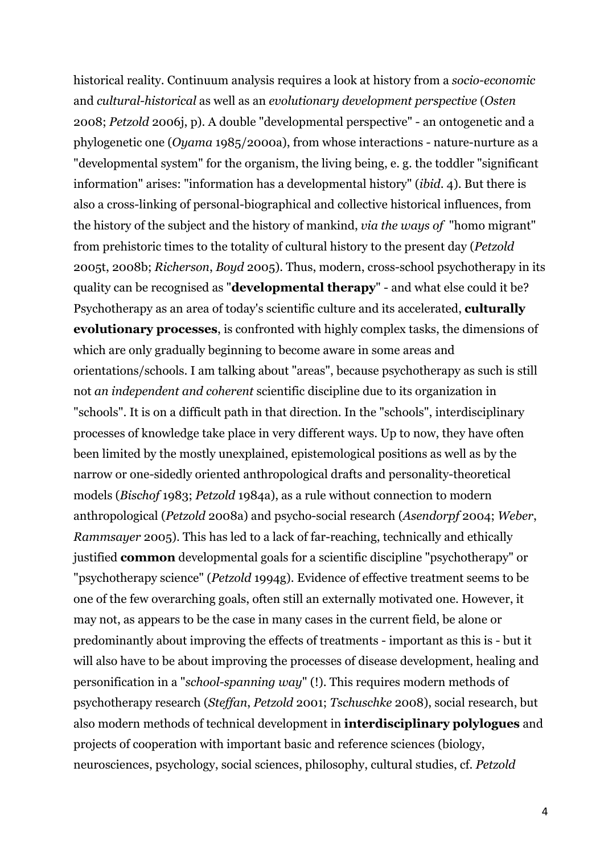historical reality. Continuum analysis requires a look at history from a *socio-economic* and *cultural-historical* as well as an *evolutionary development perspective* (*Osten* 2008; *Petzold* 2006j, p). A double "developmental perspective" - an ontogenetic and a phylogenetic one (*Oyama* 1985/2000a), from whose interactions - nature-nurture as a "developmental system" for the organism, the living being, e. g. the toddler "significant information" arises: "information has a developmental history" (*ibid*. 4). But there is also a cross-linking of personal-biographical and collective historical influences, from the history of the subject and the history of mankind, *via the ways of* "homo migrant" from prehistoric times to the totality of cultural history to the present day (*Petzold* 2005t, 2008b; *Richerson*, *Boyd* 2005). Thus, modern, cross-school psychotherapy in its quality can be recognised as "**developmental therapy**" - and what else could it be? Psychotherapy as an area of today's scientific culture and its accelerated, **culturally evolutionary processes**, is confronted with highly complex tasks, the dimensions of which are only gradually beginning to become aware in some areas and orientations/schools. I am talking about "areas", because psychotherapy as such is still not *an independent and coherent* scientific discipline due to its organization in "schools". It is on a difficult path in that direction. In the "schools", interdisciplinary processes of knowledge take place in very different ways. Up to now, they have often been limited by the mostly unexplained, epistemological positions as well as by the narrow or one-sidedly oriented anthropological drafts and personality-theoretical models (*Bischof* 1983; *Petzold* 1984a), as a rule without connection to modern anthropological (*Petzold* 2008a) and psycho-social research (*Asendorpf* 2004; *Weber*, *Rammsayer* 2005). This has led to a lack of far-reaching, technically and ethically justified **common** developmental goals for a scientific discipline "psychotherapy" or "psychotherapy science" (*Petzold* 1994g). Evidence of effective treatment seems to be one of the few overarching goals, often still an externally motivated one. However, it may not, as appears to be the case in many cases in the current field, be alone or predominantly about improving the effects of treatments - important as this is - but it will also have to be about improving the processes of disease development, healing and personification in a "*school-spanning way*" (!). This requires modern methods of psychotherapy research (*Steffan*, *Petzold* 2001; *Tschuschke* 2008), social research, but also modern methods of technical development in **interdisciplinary polylogues** and projects of cooperation with important basic and reference sciences (biology, neurosciences, psychology, social sciences, philosophy, cultural studies, cf. *Petzold*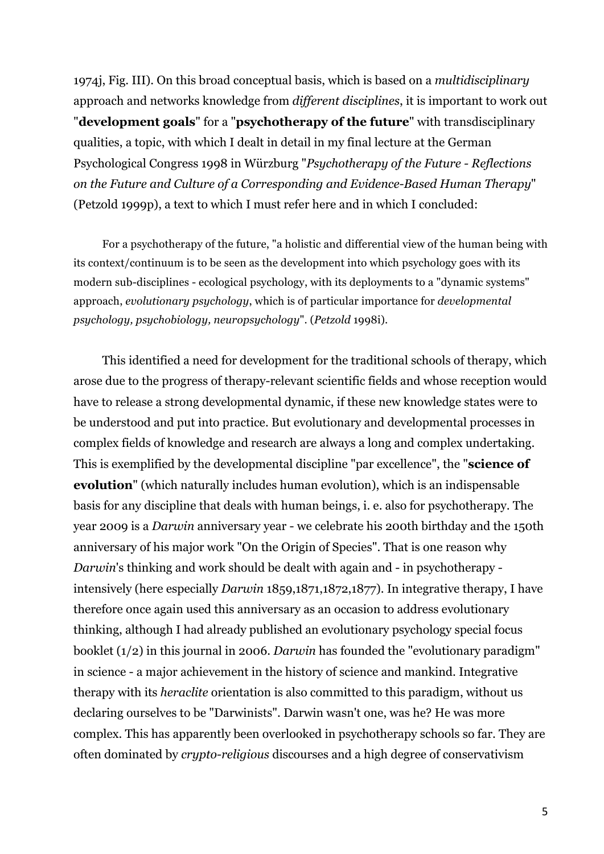1974j, Fig. III). On this broad conceptual basis, which is based on a *multidisciplinary* approach and networks knowledge from *different disciplines*, it is important to work out "**development goals**" for a "**psychotherapy of the future**" with transdisciplinary qualities, a topic, with which I dealt in detail in my final lecture at the German Psychological Congress 1998 in Würzburg "*Psychotherapy of the Future - Reflections on the Future and Culture of a Corresponding and Evidence-Based Human Therapy*" (Petzold 1999p), a text to which I must refer here and in which I concluded:

For a psychotherapy of the future, "a holistic and differential view of the human being with its context/continuum is to be seen as the development into which psychology goes with its modern sub-disciplines - ecological psychology, with its deployments to a "dynamic systems" approach, *evolutionary psychology*, which is of particular importance for *developmental psychology, psychobiology, neuropsychology*". (*Petzold* 1998i).

This identified a need for development for the traditional schools of therapy, which arose due to the progress of therapy-relevant scientific fields and whose reception would have to release a strong developmental dynamic, if these new knowledge states were to be understood and put into practice. But evolutionary and developmental processes in complex fields of knowledge and research are always a long and complex undertaking. This is exemplified by the developmental discipline "par excellence", the "**science of evolution**" (which naturally includes human evolution), which is an indispensable basis for any discipline that deals with human beings, i. e. also for psychotherapy. The year 2009 is a *Darwin* anniversary year - we celebrate his 200th birthday and the 150th anniversary of his major work "On the Origin of Species". That is one reason why *Darwin*'s thinking and work should be dealt with again and - in psychotherapy intensively (here especially *Darwin* 1859,1871,1872,1877). In integrative therapy, I have therefore once again used this anniversary as an occasion to address evolutionary thinking, although I had already published an evolutionary psychology special focus booklet (1/2) in this journal in 2006. *Darwin* has founded the "evolutionary paradigm" in science - a major achievement in the history of science and mankind. Integrative therapy with its *heraclite* orientation is also committed to this paradigm, without us declaring ourselves to be "Darwinists". Darwin wasn't one, was he? He was more complex. This has apparently been overlooked in psychotherapy schools so far. They are often dominated by *crypto-religious* discourses and a high degree of conservativism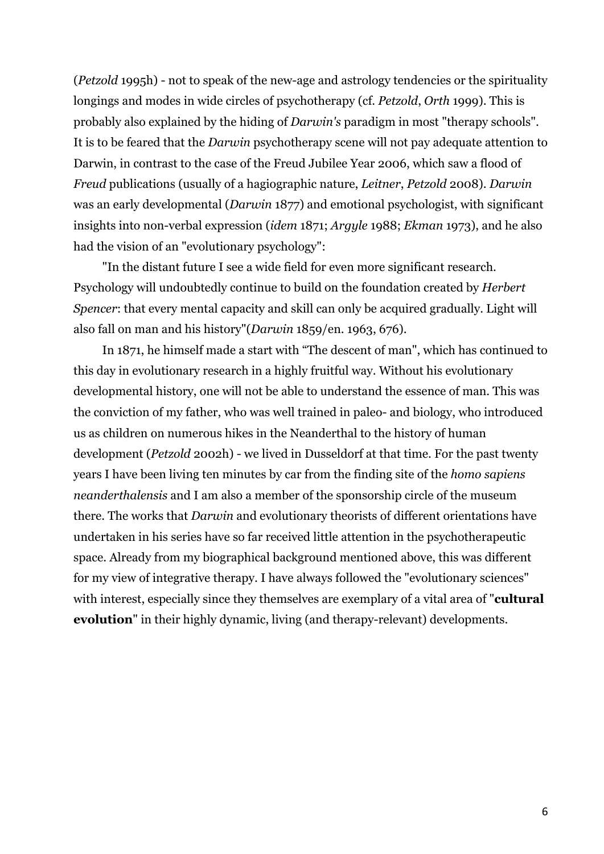(*Petzold* 1995h) - not to speak of the new-age and astrology tendencies or the spirituality longings and modes in wide circles of psychotherapy (cf. *Petzold*, *Orth* 1999). This is probably also explained by the hiding of *Darwin's* paradigm in most "therapy schools". It is to be feared that the *Darwin* psychotherapy scene will not pay adequate attention to Darwin, in contrast to the case of the Freud Jubilee Year 2006, which saw a flood of *Freud* publications (usually of a hagiographic nature, *Leitner*, *Petzold* 2008). *Darwin* was an early developmental (*Darwin* 1877) and emotional psychologist, with significant insights into non-verbal expression (*idem* 1871; *Argyle* 1988; *Ekman* 1973), and he also had the vision of an "evolutionary psychology":

"In the distant future I see a wide field for even more significant research. Psychology will undoubtedly continue to build on the foundation created by *Herbert Spencer*: that every mental capacity and skill can only be acquired gradually. Light will also fall on man and his history"(*Darwin* 1859/en. 1963, 676).

In 1871, he himself made a start with "The descent of man", which has continued to this day in evolutionary research in a highly fruitful way. Without his evolutionary developmental history, one will not be able to understand the essence of man. This was the conviction of my father, who was well trained in paleo- and biology, who introduced us as children on numerous hikes in the Neanderthal to the history of human development (*Petzold* 2002h) - we lived in Dusseldorf at that time. For the past twenty years I have been living ten minutes by car from the finding site of the *homo sapiens neanderthalensis* and I am also a member of the sponsorship circle of the museum there. The works that *Darwin* and evolutionary theorists of different orientations have undertaken in his series have so far received little attention in the psychotherapeutic space. Already from my biographical background mentioned above, this was different for my view of integrative therapy. I have always followed the "evolutionary sciences" with interest, especially since they themselves are exemplary of a vital area of "**cultural evolution**" in their highly dynamic, living (and therapy-relevant) developments.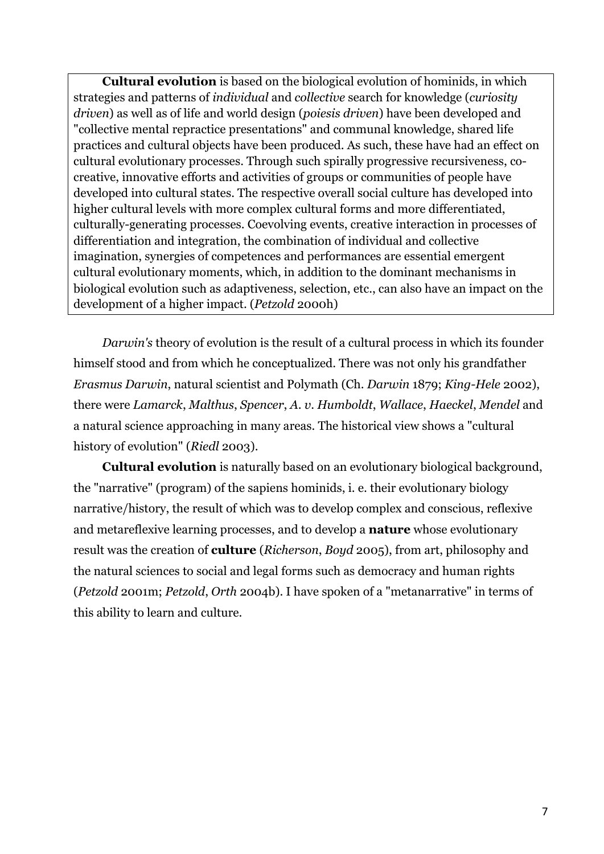**Cultural evolution** is based on the biological evolution of hominids, in which strategies and patterns of *individual* and *collective* search for knowledge (*curiosity driven*) as well as of life and world design (*poiesis driven*) have been developed and "collective mental repractice presentations" and communal knowledge, shared life practices and cultural objects have been produced. As such, these have had an effect on cultural evolutionary processes. Through such spirally progressive recursiveness, cocreative, innovative efforts and activities of groups or communities of people have developed into cultural states. The respective overall social culture has developed into higher cultural levels with more complex cultural forms and more differentiated, culturally-generating processes. Coevolving events, creative interaction in processes of differentiation and integration, the combination of individual and collective imagination, synergies of competences and performances are essential emergent cultural evolutionary moments, which, in addition to the dominant mechanisms in biological evolution such as adaptiveness, selection, etc., can also have an impact on the development of a higher impact. (*Petzold* 2000h)

*Darwin's* theory of evolution is the result of a cultural process in which its founder himself stood and from which he conceptualized. There was not only his grandfather *Erasmus Darwin*, natural scientist and Polymath (Ch. *Darwin* 1879; *King-Hele* 2002), there were *Lamarck*, *Malthus*, *Spencer*, *A*. *v*. *Humboldt*, *Wallace*, *Haeckel*, *Mendel* and a natural science approaching in many areas. The historical view shows a "cultural history of evolution" (*Riedl* 2003).

**Cultural evolution** is naturally based on an evolutionary biological background, the "narrative" (program) of the sapiens hominids, i. e. their evolutionary biology narrative/history, the result of which was to develop complex and conscious, reflexive and metareflexive learning processes, and to develop a **nature** whose evolutionary result was the creation of **culture** (*Richerson*, *Boyd* 2005), from art, philosophy and the natural sciences to social and legal forms such as democracy and human rights (*Petzold* 2001m; *Petzold*, *Orth* 2004b). I have spoken of a "metanarrative" in terms of this ability to learn and culture.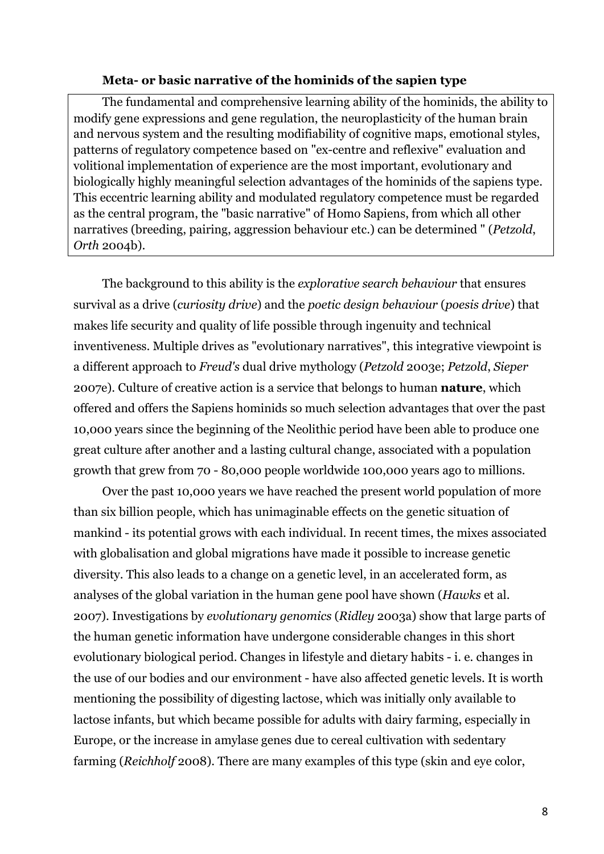#### **Meta- or basic narrative of the hominids of the sapien type**

The fundamental and comprehensive learning ability of the hominids, the ability to modify gene expressions and gene regulation, the neuroplasticity of the human brain and nervous system and the resulting modifiability of cognitive maps, emotional styles, patterns of regulatory competence based on "ex-centre and reflexive" evaluation and volitional implementation of experience are the most important, evolutionary and biologically highly meaningful selection advantages of the hominids of the sapiens type. This eccentric learning ability and modulated regulatory competence must be regarded as the central program, the "basic narrative" of Homo Sapiens, from which all other narratives (breeding, pairing, aggression behaviour etc.) can be determined " (*Petzold*, *Orth* 2004b).

The background to this ability is the *explorative search behaviour* that ensures survival as a drive (*curiosity drive*) and the *poetic design behaviour* (*poesis drive*) that makes life security and quality of life possible through ingenuity and technical inventiveness. Multiple drives as "evolutionary narratives", this integrative viewpoint is a different approach to *Freud's* dual drive mythology (*Petzold* 2003e; *Petzold*, *Sieper* 2007e). Culture of creative action is a service that belongs to human **nature**, which offered and offers the Sapiens hominids so much selection advantages that over the past 10,000 years since the beginning of the Neolithic period have been able to produce one great culture after another and a lasting cultural change, associated with a population growth that grew from 70 - 80,000 people worldwide 100,000 years ago to millions.

Over the past 10,000 years we have reached the present world population of more than six billion people, which has unimaginable effects on the genetic situation of mankind - its potential grows with each individual. In recent times, the mixes associated with globalisation and global migrations have made it possible to increase genetic diversity. This also leads to a change on a genetic level, in an accelerated form, as analyses of the global variation in the human gene pool have shown (*Hawks* et al. 2007). Investigations by *evolutionary genomics* (*Ridley* 2003a) show that large parts of the human genetic information have undergone considerable changes in this short evolutionary biological period. Changes in lifestyle and dietary habits - i. e. changes in the use of our bodies and our environment - have also affected genetic levels. It is worth mentioning the possibility of digesting lactose, which was initially only available to lactose infants, but which became possible for adults with dairy farming, especially in Europe, or the increase in amylase genes due to cereal cultivation with sedentary farming (*Reichholf* 2008). There are many examples of this type (skin and eye color,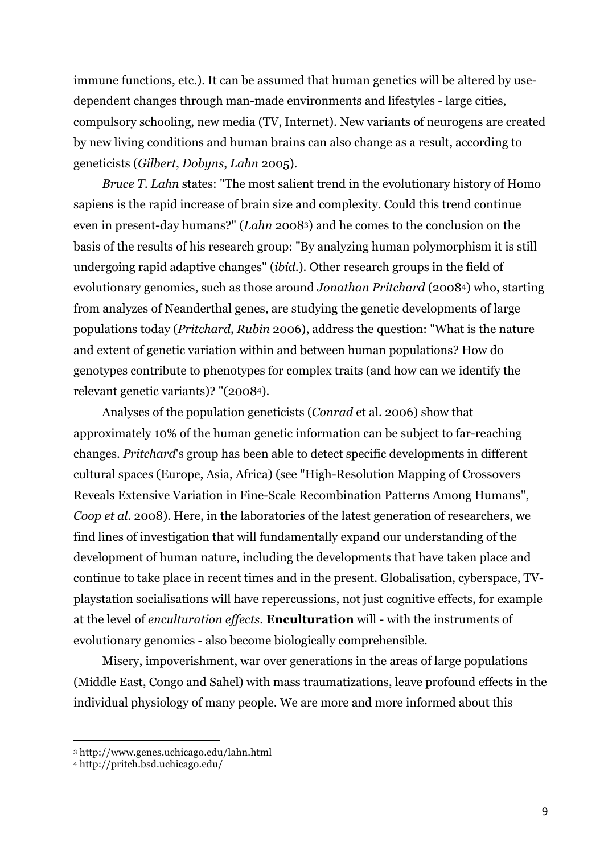immune functions, etc.). It can be assumed that human genetics will be altered by usedependent changes through man-made environments and lifestyles - large cities, compulsory schooling, new media (TV, Internet). New variants of neurogens are created by new living conditions and human brains can also change as a result, according to geneticists (*Gilbert*, *Dobyns*, *Lahn* 2005).

*Bruce T. Lahn* states: "The most salient trend in the evolutionary history of Homo sapiens is the rapid increase of brain size and complexity. Could this trend continue even in present-day humans?" (*Lahn* 20083) and he comes to the conclusion on the basis of the results of his research group: "By analyzing human polymorphism it is still undergoing rapid adaptive changes" (*ibid*.). Other research groups in the field of evolutionary genomics, such as those around *Jonathan Pritchard* (20084) who, starting from analyzes of Neanderthal genes, are studying the genetic developments of large populations today (*Pritchard*, *Rubin* 2006), address the question: "What is the nature and extent of genetic variation within and between human populations? How do genotypes contribute to phenotypes for complex traits (and how can we identify the relevant genetic variants)? "(20084).

Analyses of the population geneticists (*Conrad* et al. 2006) show that approximately 10% of the human genetic information can be subject to far-reaching changes. *Pritchard*'s group has been able to detect specific developments in different cultural spaces (Europe, Asia, Africa) (see "High-Resolution Mapping of Crossovers Reveals Extensive Variation in Fine-Scale Recombination Patterns Among Humans", *Coop et al*. 2008). Here, in the laboratories of the latest generation of researchers, we find lines of investigation that will fundamentally expand our understanding of the development of human nature, including the developments that have taken place and continue to take place in recent times and in the present. Globalisation, cyberspace, TVplaystation socialisations will have repercussions, not just cognitive effects, for example at the level of *enculturation effects*. **Enculturation** will - with the instruments of evolutionary genomics - also become biologically comprehensible.

Misery, impoverishment, war over generations in the areas of large populations (Middle East, Congo and Sahel) with mass traumatizations, leave profound effects in the individual physiology of many people. We are more and more informed about this

 

<sup>3</sup> http://www.genes.uchicago.edu/lahn.html

<sup>4</sup> http://pritch.bsd.uchicago.edu/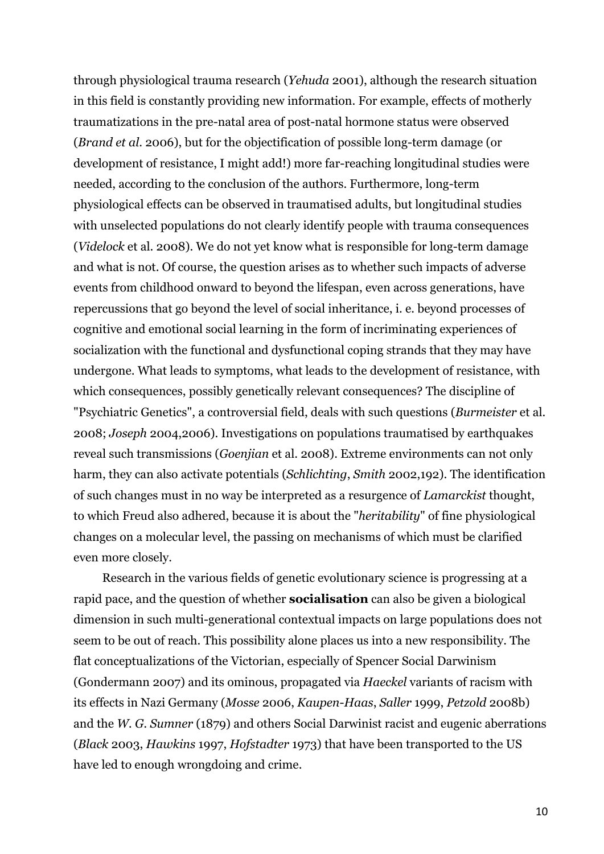through physiological trauma research (*Yehuda* 2001), although the research situation in this field is constantly providing new information. For example, effects of motherly traumatizations in the pre-natal area of post-natal hormone status were observed (*Brand et al*. 2006), but for the objectification of possible long-term damage (or development of resistance, I might add!) more far-reaching longitudinal studies were needed, according to the conclusion of the authors. Furthermore, long-term physiological effects can be observed in traumatised adults, but longitudinal studies with unselected populations do not clearly identify people with trauma consequences (*Videlock* et al. 2008). We do not yet know what is responsible for long-term damage and what is not. Of course, the question arises as to whether such impacts of adverse events from childhood onward to beyond the lifespan, even across generations, have repercussions that go beyond the level of social inheritance, i. e. beyond processes of cognitive and emotional social learning in the form of incriminating experiences of socialization with the functional and dysfunctional coping strands that they may have undergone. What leads to symptoms, what leads to the development of resistance, with which consequences, possibly genetically relevant consequences? The discipline of "Psychiatric Genetics", a controversial field, deals with such questions (*Burmeister* et al. 2008; *Joseph* 2004,2006). Investigations on populations traumatised by earthquakes reveal such transmissions (*Goenjian* et al. 2008). Extreme environments can not only harm, they can also activate potentials (*Schlichting*, *Smith* 2002,192). The identification of such changes must in no way be interpreted as a resurgence of *Lamarckist* thought, to which Freud also adhered, because it is about the "*heritability*" of fine physiological changes on a molecular level, the passing on mechanisms of which must be clarified even more closely.

Research in the various fields of genetic evolutionary science is progressing at a rapid pace, and the question of whether **socialisation** can also be given a biological dimension in such multi-generational contextual impacts on large populations does not seem to be out of reach. This possibility alone places us into a new responsibility. The flat conceptualizations of the Victorian, especially of Spencer Social Darwinism (Gondermann 2007) and its ominous, propagated via *Haeckel* variants of racism with its effects in Nazi Germany (*Mosse* 2006, *Kaupen*-*Haas*, *Saller* 1999, *Petzold* 2008b) and the *W. G. Sumner* (1879) and others Social Darwinist racist and eugenic aberrations (*Black* 2003, *Hawkins* 1997, *Hofstadter* 1973) that have been transported to the US have led to enough wrongdoing and crime.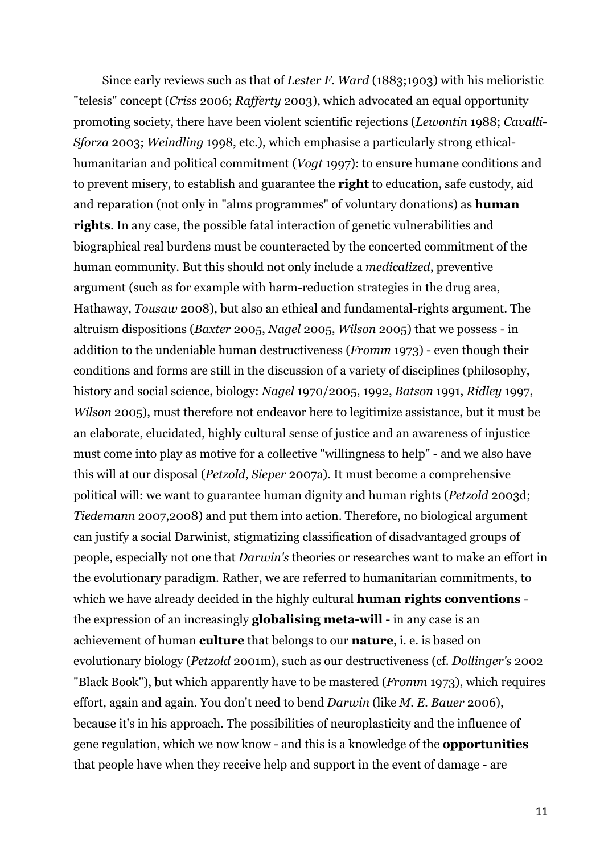Since early reviews such as that of *Lester F. Ward* (1883;1903) with his melioristic "telesis" concept (*Criss* 2006; *Rafferty* 2003), which advocated an equal opportunity promoting society, there have been violent scientific rejections (*Lewontin* 1988; *Cavalli*-*Sforza* 2003; *Weindling* 1998, etc.), which emphasise a particularly strong ethicalhumanitarian and political commitment (*Vogt* 1997): to ensure humane conditions and to prevent misery, to establish and guarantee the **right** to education, safe custody, aid and reparation (not only in "alms programmes" of voluntary donations) as **human rights**. In any case, the possible fatal interaction of genetic vulnerabilities and biographical real burdens must be counteracted by the concerted commitment of the human community. But this should not only include a *medicalized*, preventive argument (such as for example with harm-reduction strategies in the drug area, Hathaway, *Tousaw* 2008), but also an ethical and fundamental-rights argument. The altruism dispositions (*Baxter* 2005, *Nagel* 2005, *Wilson* 2005) that we possess - in addition to the undeniable human destructiveness (*Fromm* 1973) - even though their conditions and forms are still in the discussion of a variety of disciplines (philosophy, history and social science, biology: *Nagel* 1970/2005, 1992, *Batson* 1991, *Ridley* 1997, *Wilson* 2005), must therefore not endeavor here to legitimize assistance, but it must be an elaborate, elucidated, highly cultural sense of justice and an awareness of injustice must come into play as motive for a collective "willingness to help" - and we also have this will at our disposal (*Petzold*, *Sieper* 2007a). It must become a comprehensive political will: we want to guarantee human dignity and human rights (*Petzold* 2003d; *Tiedemann* 2007,2008) and put them into action. Therefore, no biological argument can justify a social Darwinist, stigmatizing classification of disadvantaged groups of people, especially not one that *Darwin's* theories or researches want to make an effort in the evolutionary paradigm. Rather, we are referred to humanitarian commitments, to which we have already decided in the highly cultural **human rights conventions** the expression of an increasingly **globalising meta-will** - in any case is an achievement of human **culture** that belongs to our **nature**, i. e. is based on evolutionary biology (*Petzold* 2001m), such as our destructiveness (cf. *Dollinger's* 2002 "Black Book"), but which apparently have to be mastered (*Fromm* 1973), which requires effort, again and again. You don't need to bend *Darwin* (like *M. E. Bauer* 2006), because it's in his approach. The possibilities of neuroplasticity and the influence of gene regulation, which we now know - and this is a knowledge of the **opportunities** that people have when they receive help and support in the event of damage - are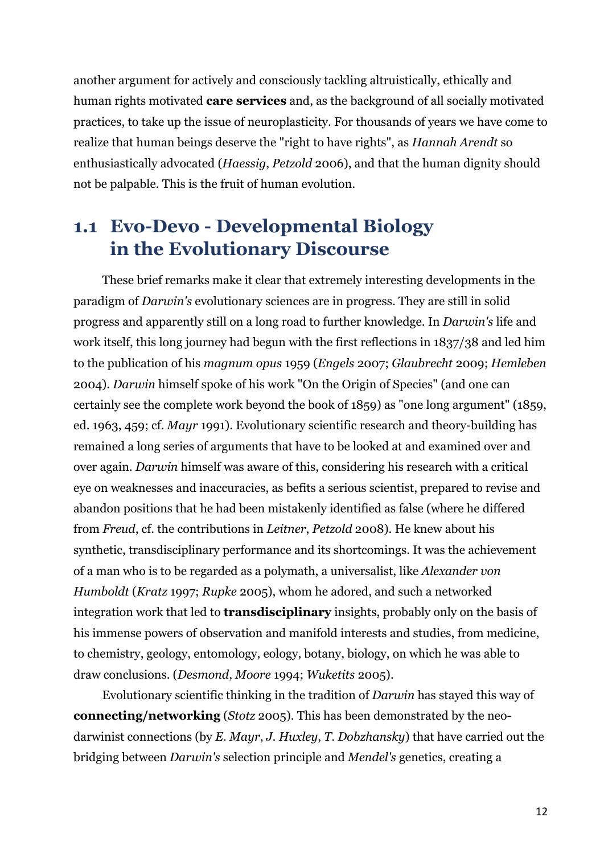another argument for actively and consciously tackling altruistically, ethically and human rights motivated **care services** and, as the background of all socially motivated practices, to take up the issue of neuroplasticity. For thousands of years we have come to realize that human beings deserve the "right to have rights", as *Hannah Arendt* so enthusiastically advocated (*Haessig*, *Petzold* 2006), and that the human dignity should not be palpable. This is the fruit of human evolution.

## **1.1 Evo-Devo - Developmental Biology in the Evolutionary Discourse**

These brief remarks make it clear that extremely interesting developments in the paradigm of *Darwin's* evolutionary sciences are in progress. They are still in solid progress and apparently still on a long road to further knowledge. In *Darwin's* life and work itself, this long journey had begun with the first reflections in 1837/38 and led him to the publication of his *magnum opus* 1959 (*Engels* 2007; *Glaubrecht* 2009; *Hemleben*  2004). *Darwin* himself spoke of his work "On the Origin of Species" (and one can certainly see the complete work beyond the book of 1859) as "one long argument" (1859, ed. 1963, 459; cf. *Mayr* 1991). Evolutionary scientific research and theory-building has remained a long series of arguments that have to be looked at and examined over and over again. *Darwin* himself was aware of this, considering his research with a critical eye on weaknesses and inaccuracies, as befits a serious scientist, prepared to revise and abandon positions that he had been mistakenly identified as false (where he differed from *Freud*, cf. the contributions in *Leitner*, *Petzold* 2008). He knew about his synthetic, transdisciplinary performance and its shortcomings. It was the achievement of a man who is to be regarded as a polymath, a universalist, like *Alexander von Humboldt* (*Kratz* 1997; *Rupke* 2005), whom he adored, and such a networked integration work that led to **transdisciplinary** insights, probably only on the basis of his immense powers of observation and manifold interests and studies, from medicine, to chemistry, geology, entomology, eology, botany, biology, on which he was able to draw conclusions. (*Desmond*, *Moore* 1994; *Wuketits* 2005).

Evolutionary scientific thinking in the tradition of *Darwin* has stayed this way of **connecting/networking** (*Stotz* 2005). This has been demonstrated by the neodarwinist connections (by *E. Mayr*, *J. Huxley*, *T. Dobzhansky*) that have carried out the bridging between *Darwin's* selection principle and *Mendel's* genetics, creating a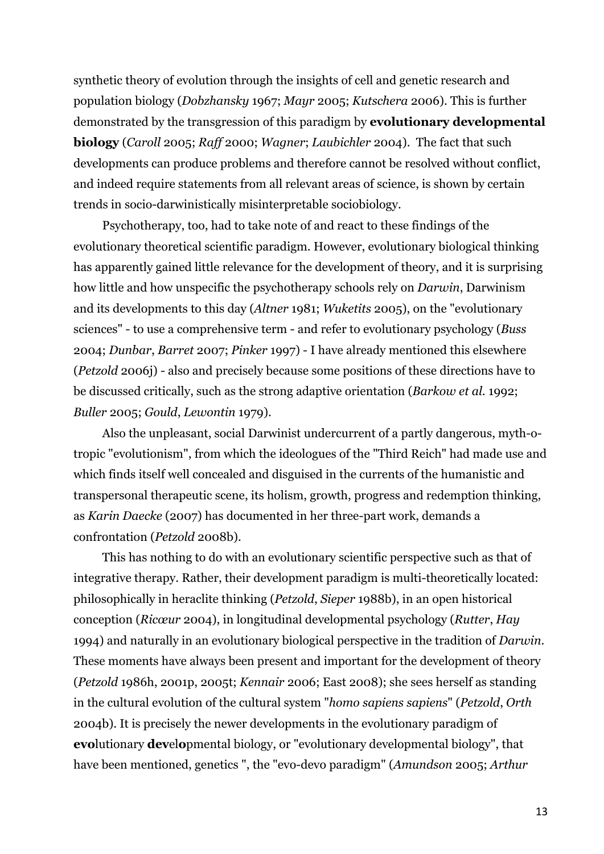synthetic theory of evolution through the insights of cell and genetic research and population biology (*Dobzhansky* 1967; *Mayr* 2005; *Kutschera* 2006). This is further demonstrated by the transgression of this paradigm by **evolutionary developmental biology** (*Caroll* 2005; *Raff* 2000; *Wagner*; *Laubichler* 2004). The fact that such developments can produce problems and therefore cannot be resolved without conflict, and indeed require statements from all relevant areas of science, is shown by certain trends in socio-darwinistically misinterpretable sociobiology.

Psychotherapy, too, had to take note of and react to these findings of the evolutionary theoretical scientific paradigm. However, evolutionary biological thinking has apparently gained little relevance for the development of theory, and it is surprising how little and how unspecific the psychotherapy schools rely on *Darwin*, Darwinism and its developments to this day (*Altner* 1981; *Wuketits* 2005), on the "evolutionary sciences" - to use a comprehensive term - and refer to evolutionary psychology (*Buss* 2004; *Dunbar*, *Barret* 2007; *Pinker* 1997) - I have already mentioned this elsewhere (*Petzold* 2006j) - also and precisely because some positions of these directions have to be discussed critically, such as the strong adaptive orientation (*Barkow et al.* 1992; *Buller* 2005; *Gould*, *Lewontin* 1979).

Also the unpleasant, social Darwinist undercurrent of a partly dangerous, myth-otropic "evolutionism", from which the ideologues of the "Third Reich" had made use and which finds itself well concealed and disguised in the currents of the humanistic and transpersonal therapeutic scene, its holism, growth, progress and redemption thinking, as *Karin Daecke* (2007) has documented in her three-part work, demands a confrontation (*Petzold* 2008b).

This has nothing to do with an evolutionary scientific perspective such as that of integrative therapy. Rather, their development paradigm is multi-theoretically located: philosophically in heraclite thinking (*Petzold*, *Sieper* 1988b), in an open historical conception (*Ricœur* 2004), in longitudinal developmental psychology (*Rutter*, *Hay* 1994) and naturally in an evolutionary biological perspective in the tradition of *Darwin*. These moments have always been present and important for the development of theory (*Petzold* 1986h, 2001p, 2005t; *Kennair* 2006; East 2008); she sees herself as standing in the cultural evolution of the cultural system "*homo sapiens sapiens*" (*Petzold*, *Orth* 2004b). It is precisely the newer developments in the evolutionary paradigm of **evo**lutionary **dev**el**o**pmental biology, or "evolutionary developmental biology", that have been mentioned, genetics ", the "evo-devo paradigm" (*Amundson* 2005; *Arthur*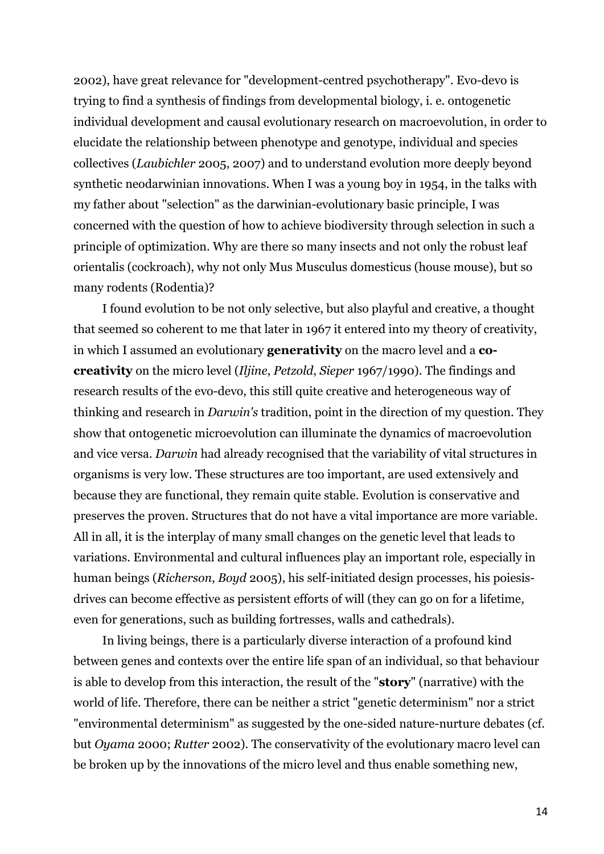2002), have great relevance for "development-centred psychotherapy". Evo-devo is trying to find a synthesis of findings from developmental biology, i. e. ontogenetic individual development and causal evolutionary research on macroevolution, in order to elucidate the relationship between phenotype and genotype, individual and species collectives (*Laubichler* 2005, 2007) and to understand evolution more deeply beyond synthetic neodarwinian innovations. When I was a young boy in 1954, in the talks with my father about "selection" as the darwinian-evolutionary basic principle, I was concerned with the question of how to achieve biodiversity through selection in such a principle of optimization. Why are there so many insects and not only the robust leaf orientalis (cockroach), why not only Mus Musculus domesticus (house mouse), but so many rodents (Rodentia)?

I found evolution to be not only selective, but also playful and creative, a thought that seemed so coherent to me that later in 1967 it entered into my theory of creativity, in which I assumed an evolutionary **generativity** on the macro level and a **cocreativity** on the micro level (*Iljine*, *Petzold*, *Sieper* 1967/1990). The findings and research results of the evo-devo, this still quite creative and heterogeneous way of thinking and research in *Darwin's* tradition, point in the direction of my question. They show that ontogenetic microevolution can illuminate the dynamics of macroevolution and vice versa. *Darwin* had already recognised that the variability of vital structures in organisms is very low. These structures are too important, are used extensively and because they are functional, they remain quite stable. Evolution is conservative and preserves the proven. Structures that do not have a vital importance are more variable. All in all, it is the interplay of many small changes on the genetic level that leads to variations. Environmental and cultural influences play an important role, especially in human beings (*Richerson*, *Boyd* 2005), his self-initiated design processes, his poiesisdrives can become effective as persistent efforts of will (they can go on for a lifetime, even for generations, such as building fortresses, walls and cathedrals).

In living beings, there is a particularly diverse interaction of a profound kind between genes and contexts over the entire life span of an individual, so that behaviour is able to develop from this interaction, the result of the "**story**" (narrative) with the world of life. Therefore, there can be neither a strict "genetic determinism" nor a strict "environmental determinism" as suggested by the one-sided nature-nurture debates (cf. but *Oyama* 2000; *Rutter* 2002). The conservativity of the evolutionary macro level can be broken up by the innovations of the micro level and thus enable something new,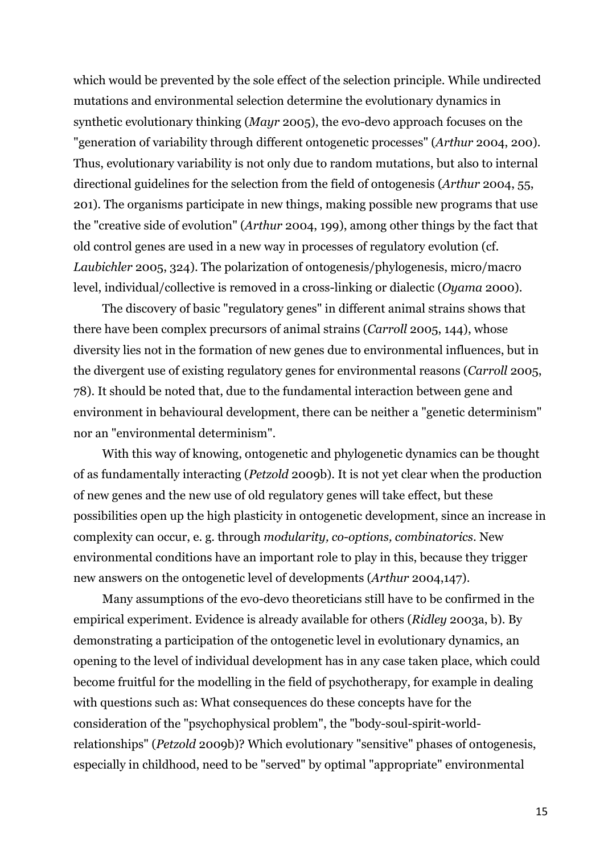which would be prevented by the sole effect of the selection principle. While undirected mutations and environmental selection determine the evolutionary dynamics in synthetic evolutionary thinking (*Mayr* 2005), the evo-devo approach focuses on the "generation of variability through different ontogenetic processes" (*Arthur* 2004, 200). Thus, evolutionary variability is not only due to random mutations, but also to internal directional guidelines for the selection from the field of ontogenesis (*Arthur* 2004, 55, 201). The organisms participate in new things, making possible new programs that use the "creative side of evolution" (*Arthur* 2004, 199), among other things by the fact that old control genes are used in a new way in processes of regulatory evolution (cf. *Laubichler* 2005, 324). The polarization of ontogenesis/phylogenesis, micro/macro level, individual/collective is removed in a cross-linking or dialectic (*Oyama* 2000).

The discovery of basic "regulatory genes" in different animal strains shows that there have been complex precursors of animal strains (*Carroll* 2005, 144), whose diversity lies not in the formation of new genes due to environmental influences, but in the divergent use of existing regulatory genes for environmental reasons (*Carroll* 2005, 78). It should be noted that, due to the fundamental interaction between gene and environment in behavioural development, there can be neither a "genetic determinism" nor an "environmental determinism".

With this way of knowing, ontogenetic and phylogenetic dynamics can be thought of as fundamentally interacting (*Petzold* 2009b). It is not yet clear when the production of new genes and the new use of old regulatory genes will take effect, but these possibilities open up the high plasticity in ontogenetic development, since an increase in complexity can occur, e. g. through *modularity, co-options, combinatorics*. New environmental conditions have an important role to play in this, because they trigger new answers on the ontogenetic level of developments (*Arthur* 2004,147).

Many assumptions of the evo-devo theoreticians still have to be confirmed in the empirical experiment. Evidence is already available for others (*Ridley* 2003a, b). By demonstrating a participation of the ontogenetic level in evolutionary dynamics, an opening to the level of individual development has in any case taken place, which could become fruitful for the modelling in the field of psychotherapy, for example in dealing with questions such as: What consequences do these concepts have for the consideration of the "psychophysical problem", the "body-soul-spirit-worldrelationships" (*Petzold* 2009b)? Which evolutionary "sensitive" phases of ontogenesis, especially in childhood, need to be "served" by optimal "appropriate" environmental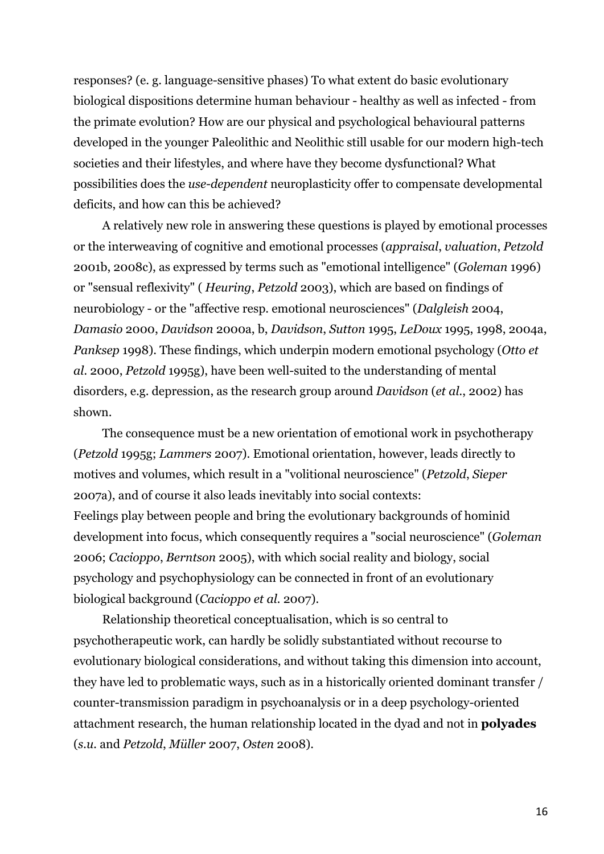responses? (e. g. language-sensitive phases) To what extent do basic evolutionary biological dispositions determine human behaviour - healthy as well as infected - from the primate evolution? How are our physical and psychological behavioural patterns developed in the younger Paleolithic and Neolithic still usable for our modern high-tech societies and their lifestyles, and where have they become dysfunctional? What possibilities does the *use-dependent* neuroplasticity offer to compensate developmental deficits, and how can this be achieved?

A relatively new role in answering these questions is played by emotional processes or the interweaving of cognitive and emotional processes (*appraisal*, *valuation*, *Petzold* 2001b, 2008c), as expressed by terms such as "emotional intelligence" (*Goleman* 1996) or "sensual reflexivity" ( *Heuring*, *Petzold* 2003), which are based on findings of neurobiology - or the "affective resp. emotional neurosciences" (*Dalgleish* 2004, *Damasio* 2000, *Davidson* 2000a, b, *Davidson*, *Sutton* 1995, *LeDoux* 1995, 1998, 2004a, *Panksep* 1998). These findings, which underpin modern emotional psychology (*Otto et al.* 2000, *Petzold* 1995g), have been well-suited to the understanding of mental disorders, e.g. depression, as the research group around *Davidson* (*et al.*, 2002) has shown.

The consequence must be a new orientation of emotional work in psychotherapy (*Petzold* 1995g; *Lammers* 2007). Emotional orientation, however, leads directly to motives and volumes, which result in a "volitional neuroscience" (*Petzold*, *Sieper* 2007a), and of course it also leads inevitably into social contexts: Feelings play between people and bring the evolutionary backgrounds of hominid development into focus, which consequently requires a "social neuroscience" (*Goleman* 2006; *Cacioppo*, *Berntson* 2005), with which social reality and biology, social psychology and psychophysiology can be connected in front of an evolutionary biological background (*Cacioppo et al.* 2007).

Relationship theoretical conceptualisation, which is so central to psychotherapeutic work, can hardly be solidly substantiated without recourse to evolutionary biological considerations, and without taking this dimension into account, they have led to problematic ways, such as in a historically oriented dominant transfer / counter-transmission paradigm in psychoanalysis or in a deep psychology-oriented attachment research, the human relationship located in the dyad and not in **polyades** (*s.u.* and *Petzold*, *Müller* 2007, *Osten* 2008).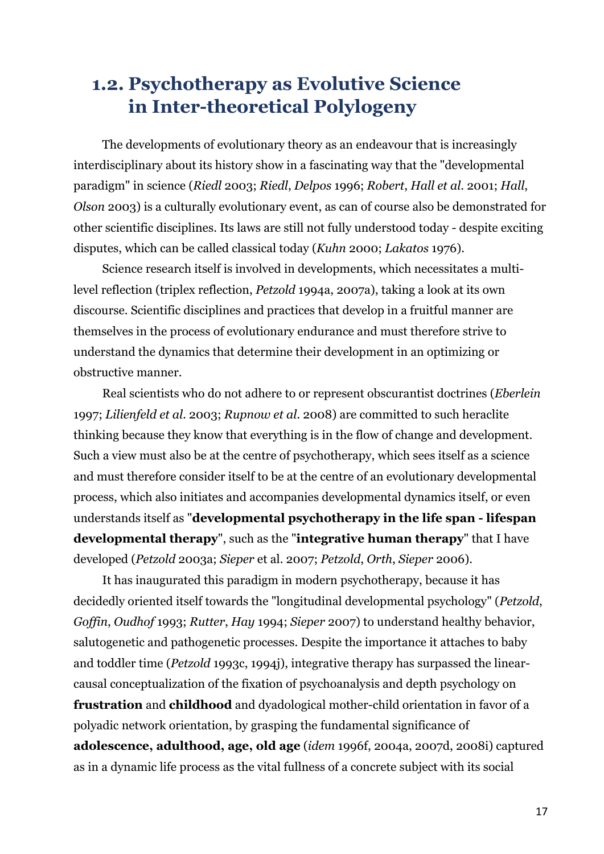## **1.2. Psychotherapy as Evolutive Science in Inter-theoretical Polylogeny**

The developments of evolutionary theory as an endeavour that is increasingly interdisciplinary about its history show in a fascinating way that the "developmental paradigm" in science (*Riedl* 2003; *Riedl*, *Delpos* 1996; *Robert*, *Hall et al*. 2001; *Hall*, *Olson* 2003) is a culturally evolutionary event, as can of course also be demonstrated for other scientific disciplines. Its laws are still not fully understood today - despite exciting disputes, which can be called classical today (*Kuhn* 2000; *Lakatos* 1976).

Science research itself is involved in developments, which necessitates a multilevel reflection (triplex reflection, *Petzold* 1994a, 2007a), taking a look at its own discourse. Scientific disciplines and practices that develop in a fruitful manner are themselves in the process of evolutionary endurance and must therefore strive to understand the dynamics that determine their development in an optimizing or obstructive manner.

Real scientists who do not adhere to or represent obscurantist doctrines (*Eberlein* 1997; *Lilienfeld et al.* 2003; *Rupnow et al.* 2008) are committed to such heraclite thinking because they know that everything is in the flow of change and development. Such a view must also be at the centre of psychotherapy, which sees itself as a science and must therefore consider itself to be at the centre of an evolutionary developmental process, which also initiates and accompanies developmental dynamics itself, or even understands itself as "**developmental psychotherapy in the life span - lifespan developmental therapy**", such as the "**integrative human therapy**" that I have developed (*Petzold* 2003a; *Sieper* et al. 2007; *Petzold*, *Orth*, *Sieper* 2006).

It has inaugurated this paradigm in modern psychotherapy, because it has decidedly oriented itself towards the "longitudinal developmental psychology" (*Petzold*, *Goffin*, *Oudhof* 1993; *Rutter*, *Hay* 1994; *Sieper* 2007) to understand healthy behavior, salutogenetic and pathogenetic processes. Despite the importance it attaches to baby and toddler time (*Petzold* 1993c, 1994j), integrative therapy has surpassed the linearcausal conceptualization of the fixation of psychoanalysis and depth psychology on **frustration** and **childhood** and dyadological mother-child orientation in favor of a polyadic network orientation, by grasping the fundamental significance of **adolescence, adulthood, age, old age** (*idem* 1996f, 2004a, 2007d, 2008i) captured as in a dynamic life process as the vital fullness of a concrete subject with its social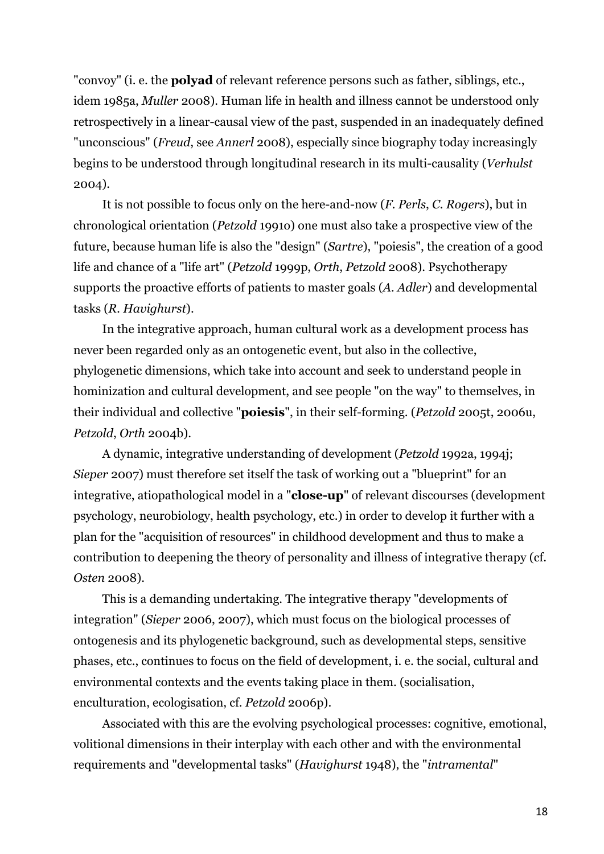"convoy" (i. e. the **polyad** of relevant reference persons such as father, siblings, etc., idem 1985a, *Muller* 2008). Human life in health and illness cannot be understood only retrospectively in a linear-causal view of the past, suspended in an inadequately defined "unconscious" (*Freud*, see *Annerl* 2008), especially since biography today increasingly begins to be understood through longitudinal research in its multi-causality (*Verhulst* 2004).

It is not possible to focus only on the here-and-now (*F. Perls*, *C. Rogers*), but in chronological orientation (*Petzold* 1991o) one must also take a prospective view of the future, because human life is also the "design" (*Sartre*), "poiesis", the creation of a good life and chance of a "life art" (*Petzold* 1999p, *Orth*, *Petzold* 2008). Psychotherapy supports the proactive efforts of patients to master goals (*A. Adler*) and developmental tasks (*R. Havighurst*).

In the integrative approach, human cultural work as a development process has never been regarded only as an ontogenetic event, but also in the collective, phylogenetic dimensions, which take into account and seek to understand people in hominization and cultural development, and see people "on the way" to themselves, in their individual and collective "**poiesis**", in their self-forming. (*Petzold* 2005t, 2006u, *Petzold*, *Orth* 2004b).

A dynamic, integrative understanding of development (*Petzold* 1992a, 1994j; *Sieper* 2007) must therefore set itself the task of working out a "blueprint" for an integrative, atiopathological model in a "**close-up**" of relevant discourses (development psychology, neurobiology, health psychology, etc.) in order to develop it further with a plan for the "acquisition of resources" in childhood development and thus to make a contribution to deepening the theory of personality and illness of integrative therapy (cf. *Osten* 2008).

This is a demanding undertaking. The integrative therapy "developments of integration" (*Sieper* 2006, 2007), which must focus on the biological processes of ontogenesis and its phylogenetic background, such as developmental steps, sensitive phases, etc., continues to focus on the field of development, i. e. the social, cultural and environmental contexts and the events taking place in them. (socialisation, enculturation, ecologisation, cf. *Petzold* 2006p).

Associated with this are the evolving psychological processes: cognitive, emotional, volitional dimensions in their interplay with each other and with the environmental requirements and "developmental tasks" (*Havighurst* 1948), the "*intramental*"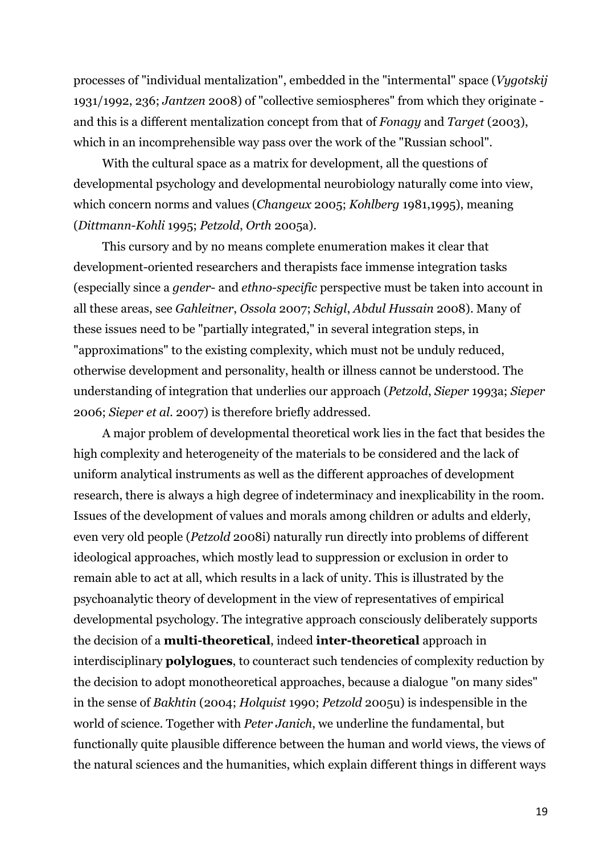processes of "individual mentalization", embedded in the "intermental" space (*Vygotskij* 1931/1992, 236; *Jantzen* 2008) of "collective semiospheres" from which they originate and this is a different mentalization concept from that of *Fonagy* and *Target* (2003), which in an incomprehensible way pass over the work of the "Russian school".

With the cultural space as a matrix for development, all the questions of developmental psychology and developmental neurobiology naturally come into view, which concern norms and values (*Changeux* 2005; *Kohlberg* 1981,1995), meaning (*Dittmann*-*Kohli* 1995; *Petzold*, *Orth* 2005a).

This cursory and by no means complete enumeration makes it clear that development-oriented researchers and therapists face immense integration tasks (especially since a *gender*- and *ethno-specific* perspective must be taken into account in all these areas, see *Gahleitner*, *Ossola* 2007; *Schigl*, *Abdul Hussain* 2008). Many of these issues need to be "partially integrated," in several integration steps, in "approximations" to the existing complexity, which must not be unduly reduced, otherwise development and personality, health or illness cannot be understood. The understanding of integration that underlies our approach (*Petzold*, *Sieper* 1993a; *Sieper* 2006; *Sieper et al.* 2007) is therefore briefly addressed.

A major problem of developmental theoretical work lies in the fact that besides the high complexity and heterogeneity of the materials to be considered and the lack of uniform analytical instruments as well as the different approaches of development research, there is always a high degree of indeterminacy and inexplicability in the room. Issues of the development of values and morals among children or adults and elderly, even very old people (*Petzold* 2008i) naturally run directly into problems of different ideological approaches, which mostly lead to suppression or exclusion in order to remain able to act at all, which results in a lack of unity. This is illustrated by the psychoanalytic theory of development in the view of representatives of empirical developmental psychology. The integrative approach consciously deliberately supports the decision of a **multi-theoretical**, indeed **inter-theoretical** approach in interdisciplinary **polylogues**, to counteract such tendencies of complexity reduction by the decision to adopt monotheoretical approaches, because a dialogue "on many sides" in the sense of *Bakhtin* (2004; *Holquist* 1990; *Petzold* 2005u) is indespensible in the world of science. Together with *Peter Janich*, we underline the fundamental, but functionally quite plausible difference between the human and world views, the views of the natural sciences and the humanities, which explain different things in different ways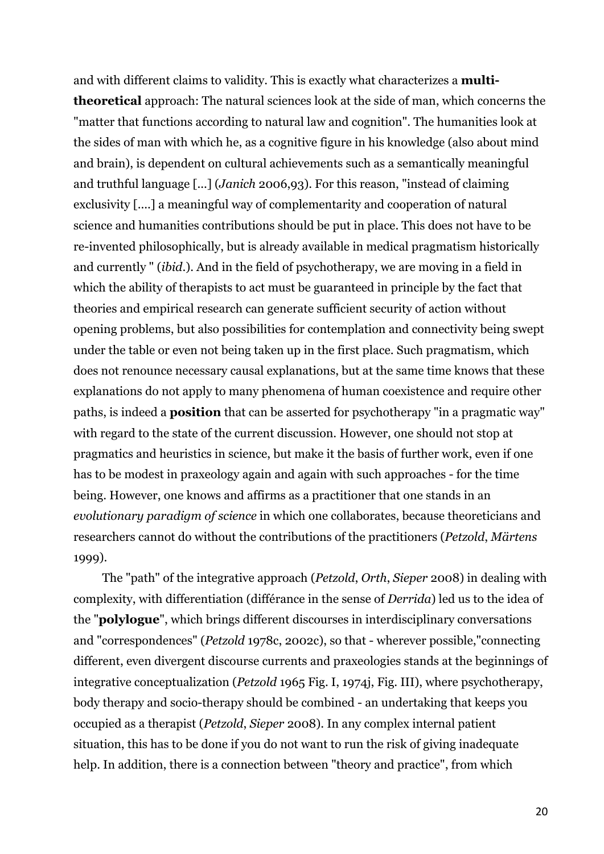and with different claims to validity. This is exactly what characterizes a **multitheoretical** approach: The natural sciences look at the side of man, which concerns the "matter that functions according to natural law and cognition". The humanities look at the sides of man with which he, as a cognitive figure in his knowledge (also about mind and brain), is dependent on cultural achievements such as a semantically meaningful and truthful language [...] (*Janich* 2006,93). For this reason, "instead of claiming exclusivity [....] a meaningful way of complementarity and cooperation of natural science and humanities contributions should be put in place. This does not have to be re-invented philosophically, but is already available in medical pragmatism historically and currently " (*ibid*.). And in the field of psychotherapy, we are moving in a field in which the ability of therapists to act must be guaranteed in principle by the fact that theories and empirical research can generate sufficient security of action without opening problems, but also possibilities for contemplation and connectivity being swept under the table or even not being taken up in the first place. Such pragmatism, which does not renounce necessary causal explanations, but at the same time knows that these explanations do not apply to many phenomena of human coexistence and require other paths, is indeed a **position** that can be asserted for psychotherapy "in a pragmatic way" with regard to the state of the current discussion. However, one should not stop at pragmatics and heuristics in science, but make it the basis of further work, even if one has to be modest in praxeology again and again with such approaches - for the time being. However, one knows and affirms as a practitioner that one stands in an *evolutionary paradigm of science* in which one collaborates, because theoreticians and researchers cannot do without the contributions of the practitioners (*Petzold*, *Märtens* 1999).

The "path" of the integrative approach (*Petzold*, *Orth*, *Sieper* 2008) in dealing with complexity, with differentiation (différance in the sense of *Derrida*) led us to the idea of the "**polylogue**", which brings different discourses in interdisciplinary conversations and "correspondences" (*Petzold* 1978c, 2002c), so that - wherever possible,"connecting different, even divergent discourse currents and praxeologies stands at the beginnings of integrative conceptualization (*Petzold* 1965 Fig. I, 1974j, Fig. III), where psychotherapy, body therapy and socio-therapy should be combined - an undertaking that keeps you occupied as a therapist (*Petzold*, *Sieper* 2008). In any complex internal patient situation, this has to be done if you do not want to run the risk of giving inadequate help. In addition, there is a connection between "theory and practice", from which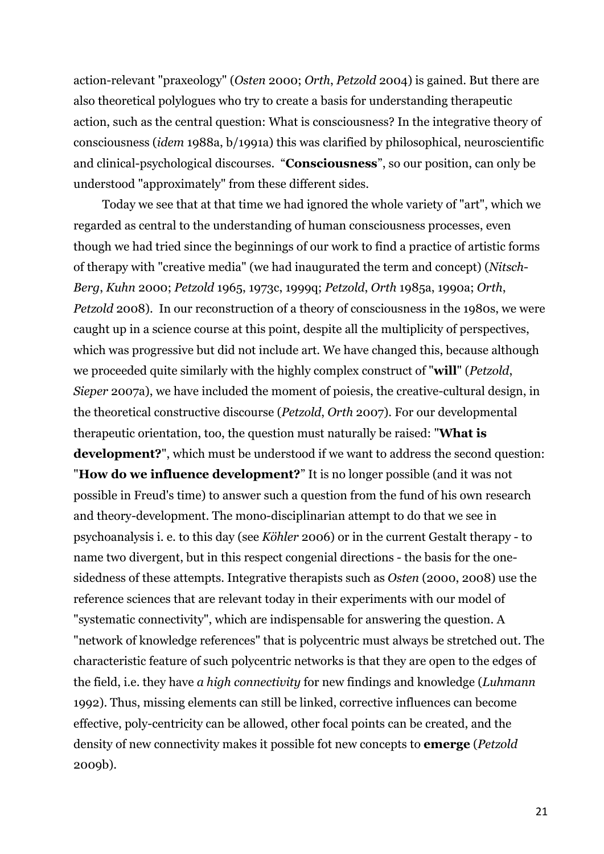action-relevant "praxeology" (*Osten* 2000; *Orth*, *Petzold* 2004) is gained. But there are also theoretical polylogues who try to create a basis for understanding therapeutic action, such as the central question: What is consciousness? In the integrative theory of consciousness (*idem* 1988a, b/1991a) this was clarified by philosophical, neuroscientific and clinical-psychological discourses. "**Consciousness**", so our position, can only be understood "approximately" from these different sides.

Today we see that at that time we had ignored the whole variety of "art", which we regarded as central to the understanding of human consciousness processes, even though we had tried since the beginnings of our work to find a practice of artistic forms of therapy with "creative media" (we had inaugurated the term and concept) (*Nitsch*-*Berg*, *Kuhn* 2000; *Petzold* 1965, 1973c, 1999q; *Petzold*, *Orth* 1985a, 1990a; *Orth*, *Petzold* 2008). In our reconstruction of a theory of consciousness in the 1980s, we were caught up in a science course at this point, despite all the multiplicity of perspectives, which was progressive but did not include art. We have changed this, because although we proceeded quite similarly with the highly complex construct of "**will**" (*Petzold*, *Sieper* 2007a), we have included the moment of poiesis, the creative-cultural design, in the theoretical constructive discourse (*Petzold*, *Orth* 2007). For our developmental therapeutic orientation, too, the question must naturally be raised: "**What is development?**", which must be understood if we want to address the second question: "**How do we influence development?**" It is no longer possible (and it was not possible in Freud's time) to answer such a question from the fund of his own research and theory-development. The mono-disciplinarian attempt to do that we see in psychoanalysis i. e. to this day (see *Köhler* 2006) or in the current Gestalt therapy - to name two divergent, but in this respect congenial directions - the basis for the onesidedness of these attempts. Integrative therapists such as *Osten* (2000, 2008) use the reference sciences that are relevant today in their experiments with our model of "systematic connectivity", which are indispensable for answering the question. A "network of knowledge references" that is polycentric must always be stretched out. The characteristic feature of such polycentric networks is that they are open to the edges of the field, i.e. they have *a high connectivity* for new findings and knowledge (*Luhmann* 1992). Thus, missing elements can still be linked, corrective influences can become effective, poly-centricity can be allowed, other focal points can be created, and the density of new connectivity makes it possible fot new concepts to **emerge** (*Petzold* 2009b).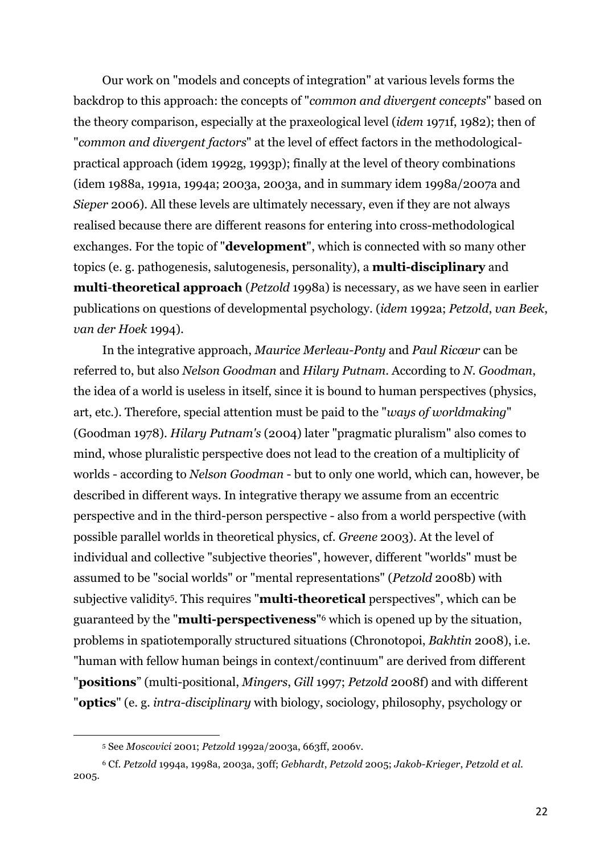Our work on "models and concepts of integration" at various levels forms the backdrop to this approach: the concepts of "*common and divergent concepts*" based on the theory comparison, especially at the praxeological level (*idem* 1971f, 1982); then of "*common and divergent factors*" at the level of effect factors in the methodologicalpractical approach (idem 1992g, 1993p); finally at the level of theory combinations (idem 1988a, 1991a, 1994a; 2003a, 2003a, and in summary idem 1998a/2007a and *Sieper* 2006). All these levels are ultimately necessary, even if they are not always realised because there are different reasons for entering into cross-methodological exchanges. For the topic of "**development**", which is connected with so many other topics (e. g. pathogenesis, salutogenesis, personality), a **multi-disciplinary** and **multi**-**theoretical approach** (*Petzold* 1998a) is necessary, as we have seen in earlier publications on questions of developmental psychology. (*idem* 1992a; *Petzold*, *van Beek*, *van der Hoek* 1994).

In the integrative approach, *Maurice Merleau-Ponty* and *Paul Ricœur* can be referred to, but also *Nelson Goodman* and *Hilary Putnam*. According to *N. Goodman*, the idea of a world is useless in itself, since it is bound to human perspectives (physics, art, etc.). Therefore, special attention must be paid to the "*ways of worldmaking*" (Goodman 1978). *Hilary Putnam's* (2004) later "pragmatic pluralism" also comes to mind, whose pluralistic perspective does not lead to the creation of a multiplicity of worlds - according to *Nelson Goodman* - but to only one world, which can, however, be described in different ways. In integrative therapy we assume from an eccentric perspective and in the third-person perspective - also from a world perspective (with possible parallel worlds in theoretical physics, cf. *Greene* 2003). At the level of individual and collective "subjective theories", however, different "worlds" must be assumed to be "social worlds" or "mental representations" (*Petzold* 2008b) with subjective validity5. This requires "**multi-theoretical** perspectives", which can be guaranteed by the "**multi-perspectiveness**"6 which is opened up by the situation, problems in spatiotemporally structured situations (Chronotopoi, *Bakhtin* 2008), i.e. "human with fellow human beings in context/continuum" are derived from different "**positions**" (multi-positional, *Mingers*, *Gill* 1997; *Petzold* 2008f) and with different "**optics**" (e. g. *intra-disciplinary* with biology, sociology, philosophy, psychology or

 

<sup>5</sup> See *Moscovici* 2001; *Petzold* 1992a/2003a, 663ff, 2006v.

<sup>6</sup> Cf. *Petzold* 1994a, 1998a, 2003a, 30ff; *Gebhardt*, *Petzold* 2005; *Jakob*-*Krieger*, *Petzold et al.* 2005.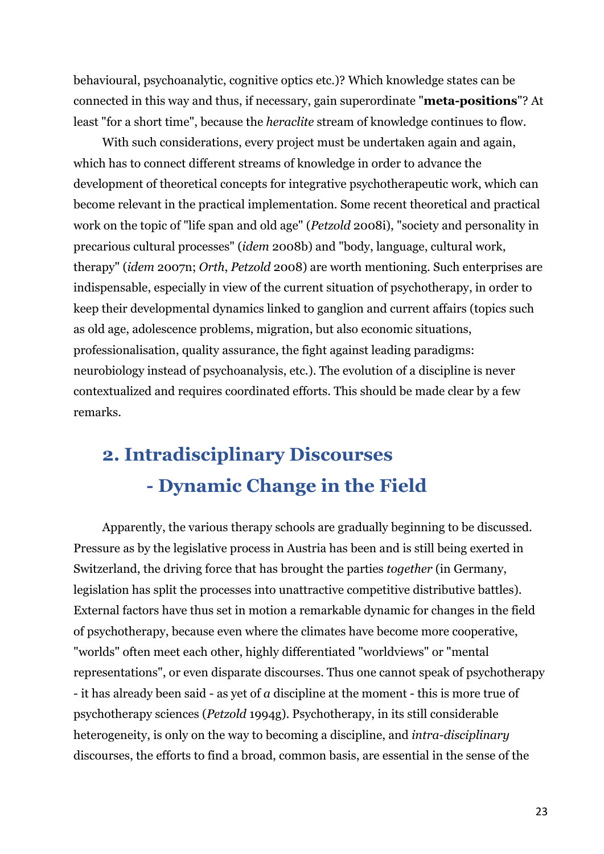behavioural, psychoanalytic, cognitive optics etc.)? Which knowledge states can be connected in this way and thus, if necessary, gain superordinate "**meta-positions**"? At least "for a short time", because the *heraclite* stream of knowledge continues to flow.

With such considerations, every project must be undertaken again and again, which has to connect different streams of knowledge in order to advance the development of theoretical concepts for integrative psychotherapeutic work, which can become relevant in the practical implementation. Some recent theoretical and practical work on the topic of "life span and old age" (*Petzold* 2008i), "society and personality in precarious cultural processes" (*idem* 2008b) and "body, language, cultural work, therapy" (*idem* 2007n; *Orth*, *Petzold* 2008) are worth mentioning. Such enterprises are indispensable, especially in view of the current situation of psychotherapy, in order to keep their developmental dynamics linked to ganglion and current affairs (topics such as old age, adolescence problems, migration, but also economic situations, professionalisation, quality assurance, the fight against leading paradigms: neurobiology instead of psychoanalysis, etc.). The evolution of a discipline is never contextualized and requires coordinated efforts. This should be made clear by a few remarks.

# **2. Intradisciplinary Discourses - Dynamic Change in the Field**

Apparently, the various therapy schools are gradually beginning to be discussed. Pressure as by the legislative process in Austria has been and is still being exerted in Switzerland, the driving force that has brought the parties *together* (in Germany, legislation has split the processes into unattractive competitive distributive battles). External factors have thus set in motion a remarkable dynamic for changes in the field of psychotherapy, because even where the climates have become more cooperative, "worlds" often meet each other, highly differentiated "worldviews" or "mental representations", or even disparate discourses. Thus one cannot speak of psychotherapy - it has already been said - as yet of *a* discipline at the moment - this is more true of psychotherapy sciences (*Petzold* 1994g). Psychotherapy, in its still considerable heterogeneity, is only on the way to becoming a discipline, and *intra-disciplinary* discourses, the efforts to find a broad, common basis, are essential in the sense of the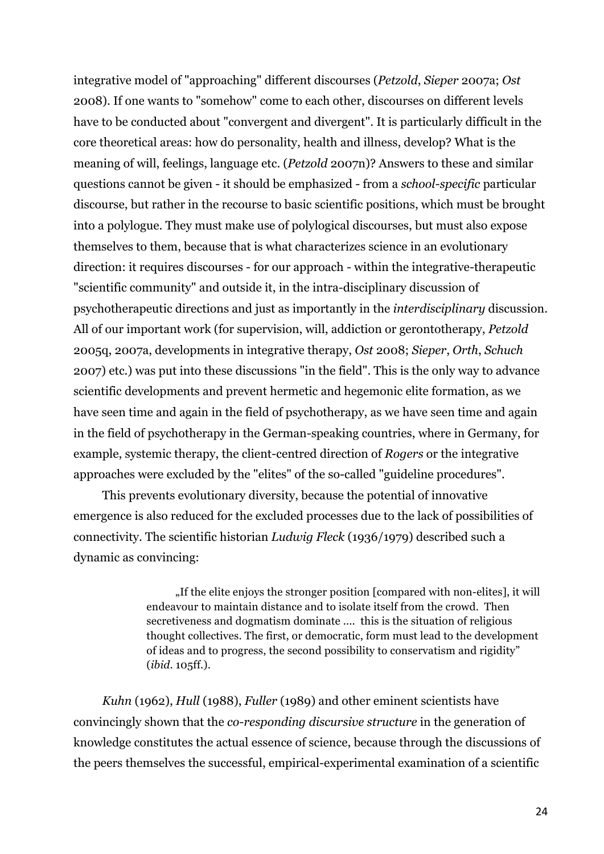integrative model of "approaching" different discourses (*Petzold*, *Sieper* 2007a; *Ost* 2008). If one wants to "somehow" come to each other, discourses on different levels have to be conducted about "convergent and divergent". It is particularly difficult in the core theoretical areas: how do personality, health and illness, develop? What is the meaning of will, feelings, language etc. (*Petzold* 2007n)? Answers to these and similar questions cannot be given - it should be emphasized - from a *school-specific* particular discourse, but rather in the recourse to basic scientific positions, which must be brought into a polylogue. They must make use of polylogical discourses, but must also expose themselves to them, because that is what characterizes science in an evolutionary direction: it requires discourses - for our approach - within the integrative-therapeutic "scientific community" and outside it, in the intra-disciplinary discussion of psychotherapeutic directions and just as importantly in the *interdisciplinary* discussion. All of our important work (for supervision, will, addiction or gerontotherapy, *Petzold* 2005q, 2007a, developments in integrative therapy, *Ost* 2008; *Sieper*, *Orth*, *Schuch* 2007) etc.) was put into these discussions "in the field". This is the only way to advance scientific developments and prevent hermetic and hegemonic elite formation, as we have seen time and again in the field of psychotherapy, as we have seen time and again in the field of psychotherapy in the German-speaking countries, where in Germany, for example, systemic therapy, the client-centred direction of *Rogers* or the integrative approaches were excluded by the "elites" of the so-called "guideline procedures".

This prevents evolutionary diversity, because the potential of innovative emergence is also reduced for the excluded processes due to the lack of possibilities of connectivity. The scientific historian *Ludwig Fleck* (1936/1979) described such a dynamic as convincing:

> "If the elite enjoys the stronger position [compared with non-elites], it will endeavour to maintain distance and to isolate itself from the crowd. Then secretiveness and dogmatism dominate .... this is the situation of religious thought collectives. The first, or democratic, form must lead to the development of ideas and to progress, the second possibility to conservatism and rigidity" (*ibid*. 105ff.).

*Kuhn* (1962), *Hull* (1988), *Fuller* (1989) and other eminent scientists have convincingly shown that the *co-responding discursive structure* in the generation of knowledge constitutes the actual essence of science, because through the discussions of the peers themselves the successful, empirical-experimental examination of a scientific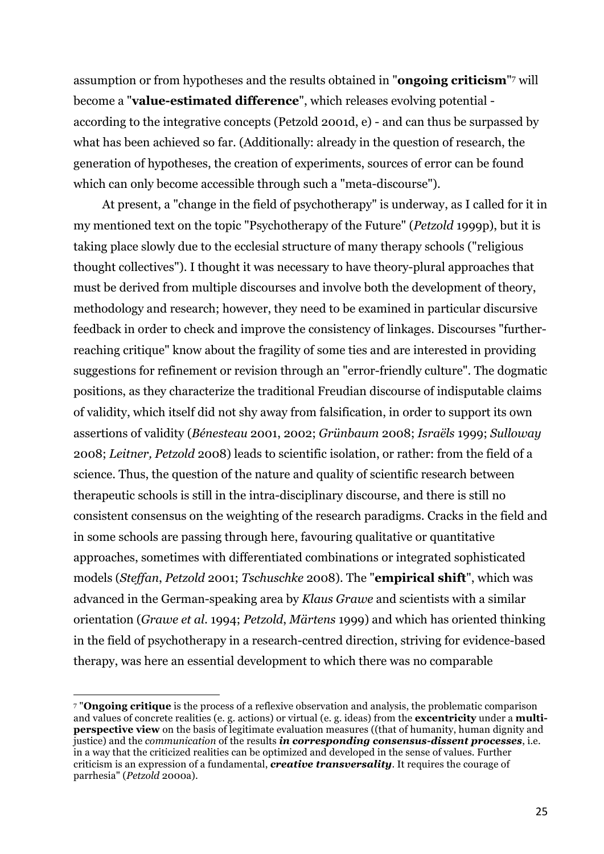assumption or from hypotheses and the results obtained in "**ongoing criticism**"7 will become a "**value-estimated difference**", which releases evolving potential according to the integrative concepts (Petzold 2001d, e) - and can thus be surpassed by what has been achieved so far. (Additionally: already in the question of research, the generation of hypotheses, the creation of experiments, sources of error can be found which can only become accessible through such a "meta-discourse").

At present, a "change in the field of psychotherapy" is underway, as I called for it in my mentioned text on the topic "Psychotherapy of the Future" (*Petzold* 1999p), but it is taking place slowly due to the ecclesial structure of many therapy schools ("religious thought collectives"). I thought it was necessary to have theory-plural approaches that must be derived from multiple discourses and involve both the development of theory, methodology and research; however, they need to be examined in particular discursive feedback in order to check and improve the consistency of linkages. Discourses "furtherreaching critique" know about the fragility of some ties and are interested in providing suggestions for refinement or revision through an "error-friendly culture". The dogmatic positions, as they characterize the traditional Freudian discourse of indisputable claims of validity, which itself did not shy away from falsification, in order to support its own assertions of validity (*Bénesteau* 2001, 2002; *Grünbaum* 2008; *Israëls* 1999; *Sulloway* 2008; *Leitner, Petzold* 2008) leads to scientific isolation, or rather: from the field of a science. Thus, the question of the nature and quality of scientific research between therapeutic schools is still in the intra-disciplinary discourse, and there is still no consistent consensus on the weighting of the research paradigms. Cracks in the field and in some schools are passing through here, favouring qualitative or quantitative approaches, sometimes with differentiated combinations or integrated sophisticated models (*Steffan*, *Petzold* 2001; *Tschuschke* 2008). The "**empirical shift**", which was advanced in the German-speaking area by *Klaus Grawe* and scientists with a similar orientation (*Grawe et al.* 1994; *Petzold*, *Märtens* 1999) and which has oriented thinking in the field of psychotherapy in a research-centred direction, striving for evidence-based therapy, was here an essential development to which there was no comparable

 

<sup>7</sup> "**Ongoing critique** is the process of a reflexive observation and analysis, the problematic comparison and values of concrete realities (e. g. actions) or virtual (e. g. ideas) from the **excentricity** under a **multiperspective view** on the basis of legitimate evaluation measures ((that of humanity, human dignity and justice) and the *communication* of the results *in corresponding consensus-dissent processes*, i.e. in a way that the criticized realities can be optimized and developed in the sense of values. Further criticism is an expression of a fundamental, *creative transversality*. It requires the courage of parrhesia" (*Petzold* 2000a).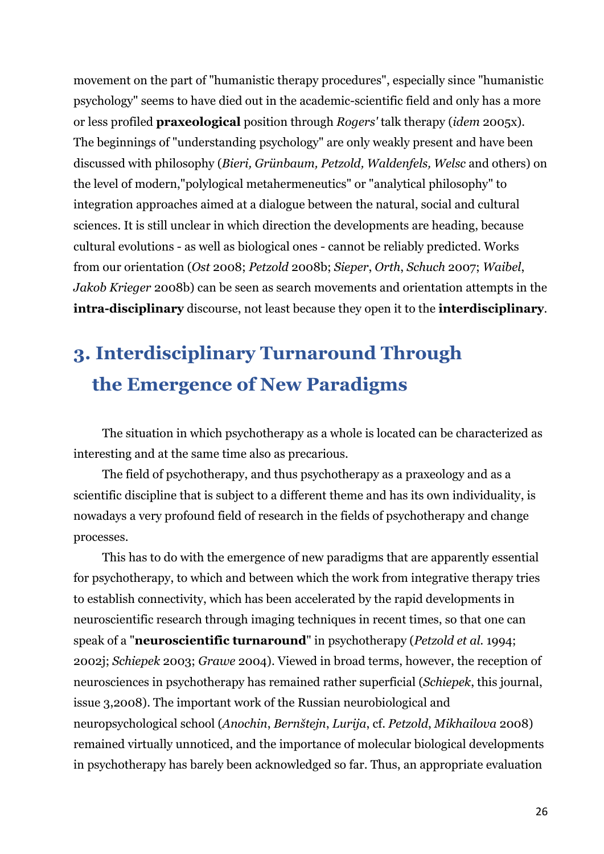movement on the part of "humanistic therapy procedures", especially since "humanistic psychology" seems to have died out in the academic-scientific field and only has a more or less profiled **praxeological** position through *Rogers'* talk therapy (*idem* 2005x). The beginnings of "understanding psychology" are only weakly present and have been discussed with philosophy (*Bieri, Grünbaum, Petzold, Waldenfels, Welsc* and others) on the level of modern,"polylogical metahermeneutics" or "analytical philosophy" to integration approaches aimed at a dialogue between the natural, social and cultural sciences. It is still unclear in which direction the developments are heading, because cultural evolutions - as well as biological ones - cannot be reliably predicted. Works from our orientation (*Ost* 2008; *Petzold* 2008b; *Sieper*, *Orth*, *Schuch* 2007; *Waibel*, *Jakob Krieger* 2008b) can be seen as search movements and orientation attempts in the **intra-disciplinary** discourse, not least because they open it to the **interdisciplinary**.

# **3. Interdisciplinary Turnaround Through the Emergence of New Paradigms**

The situation in which psychotherapy as a whole is located can be characterized as interesting and at the same time also as precarious.

The field of psychotherapy, and thus psychotherapy as a praxeology and as a scientific discipline that is subject to a different theme and has its own individuality, is nowadays a very profound field of research in the fields of psychotherapy and change processes.

This has to do with the emergence of new paradigms that are apparently essential for psychotherapy, to which and between which the work from integrative therapy tries to establish connectivity, which has been accelerated by the rapid developments in neuroscientific research through imaging techniques in recent times, so that one can speak of a "**neuroscientific turnaround**" in psychotherapy (*Petzold et al.* 1994; 2002j; *Schiepek* 2003; *Grawe* 2004). Viewed in broad terms, however, the reception of neurosciences in psychotherapy has remained rather superficial (*Schiepek*, this journal, issue 3,2008). The important work of the Russian neurobiological and neuropsychological school (*Anochin*, *Bernštejn*, *Lurija*, cf. *Petzold*, *Mikhailova* 2008) remained virtually unnoticed, and the importance of molecular biological developments in psychotherapy has barely been acknowledged so far. Thus, an appropriate evaluation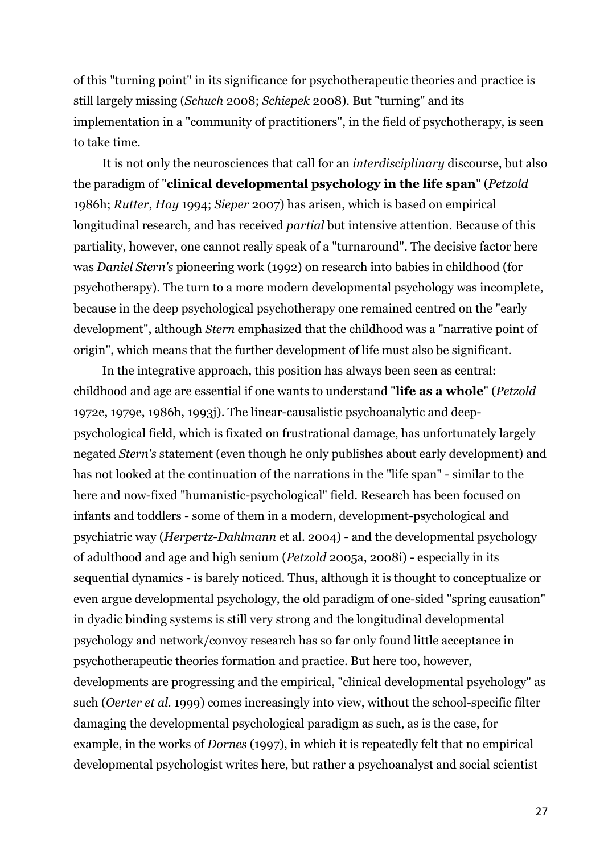of this "turning point" in its significance for psychotherapeutic theories and practice is still largely missing (*Schuch* 2008; *Schiepek* 2008). But "turning" and its implementation in a "community of practitioners", in the field of psychotherapy, is seen to take time.

It is not only the neurosciences that call for an *interdisciplinary* discourse, but also the paradigm of "**clinical developmental psychology in the life span**" (*Petzold* 1986h; *Rutter*, *Hay* 1994; *Sieper* 2007) has arisen, which is based on empirical longitudinal research, and has received *partial* but intensive attention. Because of this partiality, however, one cannot really speak of a "turnaround". The decisive factor here was *Daniel Stern's* pioneering work (1992) on research into babies in childhood (for psychotherapy). The turn to a more modern developmental psychology was incomplete, because in the deep psychological psychotherapy one remained centred on the "early development", although *Stern* emphasized that the childhood was a "narrative point of origin", which means that the further development of life must also be significant.

In the integrative approach, this position has always been seen as central: childhood and age are essential if one wants to understand "**life as a whole**" (*Petzold* 1972e, 1979e, 1986h, 1993j). The linear-causalistic psychoanalytic and deeppsychological field, which is fixated on frustrational damage, has unfortunately largely negated *Stern's* statement (even though he only publishes about early development) and has not looked at the continuation of the narrations in the "life span" - similar to the here and now-fixed "humanistic-psychological" field. Research has been focused on infants and toddlers - some of them in a modern, development-psychological and psychiatric way (*Herpertz*-*Dahlmann* et al. 2004) - and the developmental psychology of adulthood and age and high senium (*Petzold* 2005a, 2008i) - especially in its sequential dynamics - is barely noticed. Thus, although it is thought to conceptualize or even argue developmental psychology, the old paradigm of one-sided "spring causation" in dyadic binding systems is still very strong and the longitudinal developmental psychology and network/convoy research has so far only found little acceptance in psychotherapeutic theories formation and practice. But here too, however, developments are progressing and the empirical, "clinical developmental psychology" as such (*Oerter et al.* 1999) comes increasingly into view, without the school-specific filter damaging the developmental psychological paradigm as such, as is the case, for example, in the works of *Dornes* (1997), in which it is repeatedly felt that no empirical developmental psychologist writes here, but rather a psychoanalyst and social scientist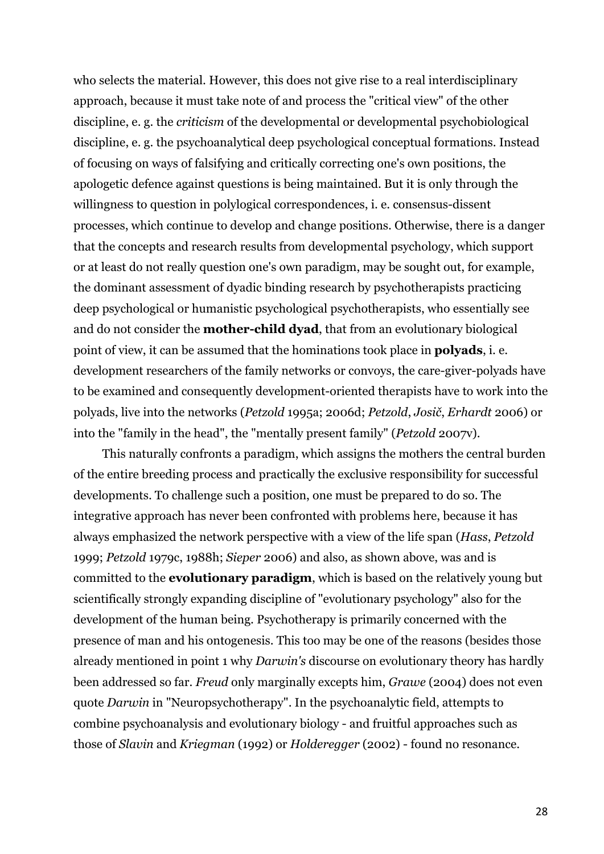who selects the material. However, this does not give rise to a real interdisciplinary approach, because it must take note of and process the "critical view" of the other discipline, e. g. the *criticism* of the developmental or developmental psychobiological discipline, e. g. the psychoanalytical deep psychological conceptual formations. Instead of focusing on ways of falsifying and critically correcting one's own positions, the apologetic defence against questions is being maintained. But it is only through the willingness to question in polylogical correspondences, i. e. consensus-dissent processes, which continue to develop and change positions. Otherwise, there is a danger that the concepts and research results from developmental psychology, which support or at least do not really question one's own paradigm, may be sought out, for example, the dominant assessment of dyadic binding research by psychotherapists practicing deep psychological or humanistic psychological psychotherapists, who essentially see and do not consider the **mother-child dyad**, that from an evolutionary biological point of view, it can be assumed that the hominations took place in **polyads**, i. e. development researchers of the family networks or convoys, the care-giver-polyads have to be examined and consequently development-oriented therapists have to work into the polyads, live into the networks (*Petzold* 1995a; 2006d; *Petzold*, *Josič*, *Erhardt* 2006) or into the "family in the head", the "mentally present family" (*Petzold* 2007v).

This naturally confronts a paradigm, which assigns the mothers the central burden of the entire breeding process and practically the exclusive responsibility for successful developments. To challenge such a position, one must be prepared to do so. The integrative approach has never been confronted with problems here, because it has always emphasized the network perspective with a view of the life span (*Hass*, *Petzold* 1999; *Petzold* 1979c, 1988h; *Sieper* 2006) and also, as shown above, was and is committed to the **evolutionary paradigm**, which is based on the relatively young but scientifically strongly expanding discipline of "evolutionary psychology" also for the development of the human being. Psychotherapy is primarily concerned with the presence of man and his ontogenesis. This too may be one of the reasons (besides those already mentioned in point 1 why *Darwin's* discourse on evolutionary theory has hardly been addressed so far. *Freud* only marginally excepts him, *Grawe* (2004) does not even quote *Darwin* in "Neuropsychotherapy". In the psychoanalytic field, attempts to combine psychoanalysis and evolutionary biology - and fruitful approaches such as those of *Slavin* and *Kriegman* (1992) or *Holderegger* (2002) - found no resonance.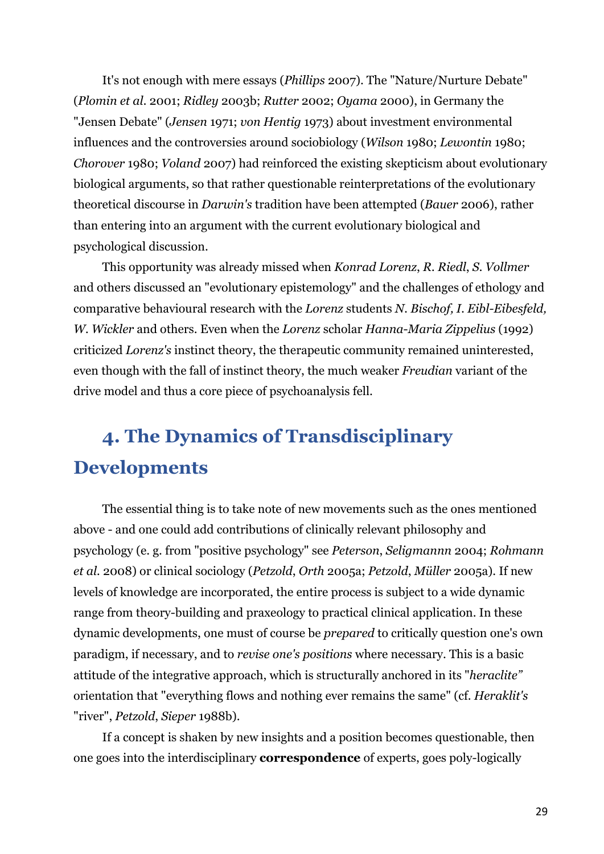It's not enough with mere essays (*Phillips* 2007). The "Nature/Nurture Debate" (*Plomin et al.* 2001; *Ridley* 2003b; *Rutter* 2002; *Oyama* 2000), in Germany the "Jensen Debate" (*Jensen* 1971; *von Hentig* 1973) about investment environmental influences and the controversies around sociobiology (*Wilson* 1980; *Lewontin* 1980; *Chorover* 1980; *Voland* 2007) had reinforced the existing skepticism about evolutionary biological arguments, so that rather questionable reinterpretations of the evolutionary theoretical discourse in *Darwin's* tradition have been attempted (*Bauer* 2006), rather than entering into an argument with the current evolutionary biological and psychological discussion.

This opportunity was already missed when *Konrad Lorenz*, *R. Riedl*, *S. Vollmer* and others discussed an "evolutionary epistemology" and the challenges of ethology and comparative behavioural research with the *Lorenz* students *N. Bischof, I. Eibl-Eibesfeld, W. Wickler* and others. Even when the *Lorenz* scholar *Hanna*-*Maria Zippelius* (1992) criticized *Lorenz's* instinct theory, the therapeutic community remained uninterested, even though with the fall of instinct theory, the much weaker *Freudian* variant of the drive model and thus a core piece of psychoanalysis fell.

# **4. The Dynamics of Transdisciplinary Developments**

The essential thing is to take note of new movements such as the ones mentioned above - and one could add contributions of clinically relevant philosophy and psychology (e. g. from "positive psychology" see *Peterson*, *Seligmannn* 2004; *Rohmann et al.* 2008) or clinical sociology (*Petzold*, *Orth* 2005a; *Petzold*, *Müller* 2005a). If new levels of knowledge are incorporated, the entire process is subject to a wide dynamic range from theory-building and praxeology to practical clinical application. In these dynamic developments, one must of course be *prepared* to critically question one's own paradigm, if necessary, and to *revise one's positions* where necessary. This is a basic attitude of the integrative approach, which is structurally anchored in its "*heraclite"* orientation that "everything flows and nothing ever remains the same" (cf. *Heraklit's* "river", *Petzold*, *Sieper* 1988b).

If a concept is shaken by new insights and a position becomes questionable, then one goes into the interdisciplinary **correspondence** of experts, goes poly-logically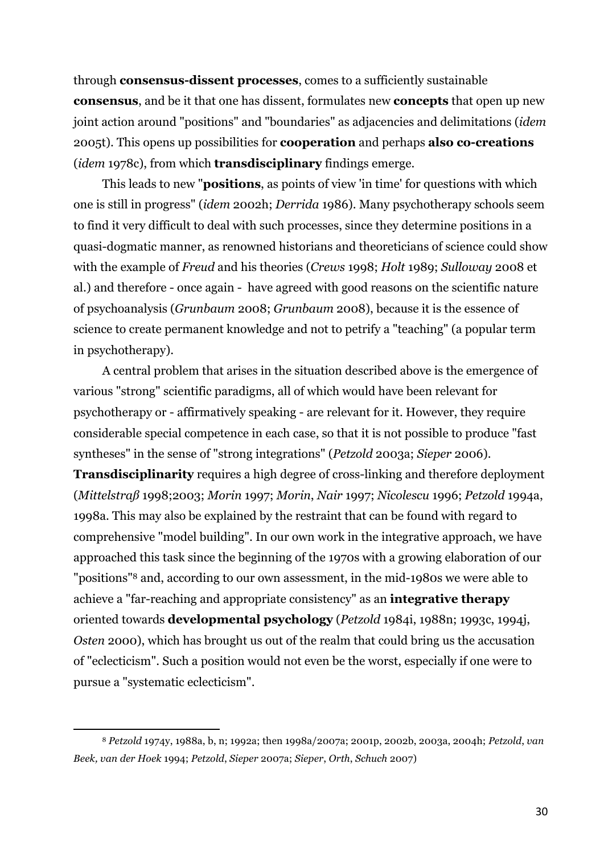through **consensus-dissent processes**, comes to a sufficiently sustainable **consensus**, and be it that one has dissent, formulates new **concepts** that open up new joint action around "positions" and "boundaries" as adjacencies and delimitations (*idem* 2005t). This opens up possibilities for **cooperation** and perhaps **also co-creations** (*idem* 1978c), from which **transdisciplinary** findings emerge.

This leads to new "**positions**, as points of view 'in time' for questions with which one is still in progress" (*idem* 2002h; *Derrida* 1986). Many psychotherapy schools seem to find it very difficult to deal with such processes, since they determine positions in a quasi-dogmatic manner, as renowned historians and theoreticians of science could show with the example of *Freud* and his theories (*Crews* 1998; *Holt* 1989; *Sulloway* 2008 et al.) and therefore - once again - have agreed with good reasons on the scientific nature of psychoanalysis (*Grunbaum* 2008; *Grunbaum* 2008), because it is the essence of science to create permanent knowledge and not to petrify a "teaching" (a popular term in psychotherapy).

A central problem that arises in the situation described above is the emergence of various "strong" scientific paradigms, all of which would have been relevant for psychotherapy or - affirmatively speaking - are relevant for it. However, they require considerable special competence in each case, so that it is not possible to produce "fast syntheses" in the sense of "strong integrations" (*Petzold* 2003a; *Sieper* 2006).

**Transdisciplinarity** requires a high degree of cross-linking and therefore deployment (*Mittelstraß* 1998;2003; *Morin* 1997; *Morin*, *Nair* 1997; *Nicolescu* 1996; *Petzold* 1994a, 1998a. This may also be explained by the restraint that can be found with regard to comprehensive "model building". In our own work in the integrative approach, we have approached this task since the beginning of the 1970s with a growing elaboration of our "positions"8 and, according to our own assessment, in the mid-1980s we were able to achieve a "far-reaching and appropriate consistency" as an **integrative therapy** oriented towards **developmental psychology** (*Petzold* 1984i, 1988n; 1993c, 1994j, *Osten* 2000), which has brought us out of the realm that could bring us the accusation of "eclecticism". Such a position would not even be the worst, especially if one were to pursue a "systematic eclecticism".

 

<sup>8</sup> *Petzold* 1974y, 1988a, b, n; 1992a; then 1998a/2007a; 2001p, 2002b, 2003a, 2004h; *Petzold*, *van Beek, van der Hoek* 1994; *Petzold*, *Sieper* 2007a; *Sieper*, *Orth*, *Schuch* 2007)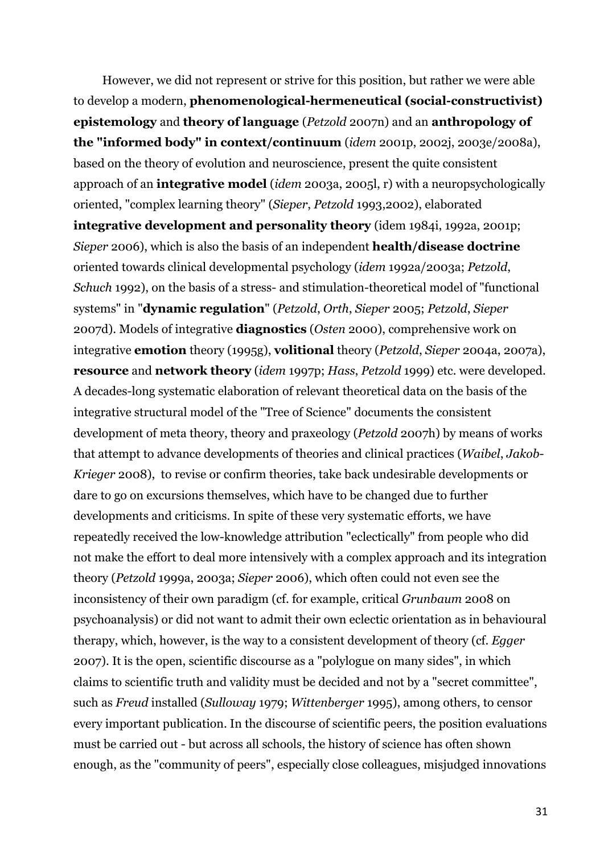However, we did not represent or strive for this position, but rather we were able to develop a modern, **phenomenological-hermeneutical (social-constructivist) epistemology** and **theory of language** (*Petzold* 2007n) and an **anthropology of the "informed body" in context/continuum** (*idem* 2001p, 2002j, 2003e/2008a), based on the theory of evolution and neuroscience, present the quite consistent approach of an **integrative model** (*idem* 2003a, 2005l, r) with a neuropsychologically oriented, "complex learning theory" (*Sieper*, *Petzold* 1993,2002), elaborated **integrative development and personality theory** (idem 1984i, 1992a, 2001p; *Sieper* 2006), which is also the basis of an independent **health/disease doctrine** oriented towards clinical developmental psychology (*idem* 1992a/2003a; *Petzold*, *Schuch* 1992), on the basis of a stress- and stimulation-theoretical model of "functional systems" in "**dynamic regulation**" (*Petzold*, *Orth*, *Sieper* 2005; *Petzold*, *Sieper* 2007d). Models of integrative **diagnostics** (*Osten* 2000), comprehensive work on integrative **emotion** theory (1995g), **volitional** theory (*Petzold*, *Sieper* 2004a, 2007a), **resource** and **network theory** (*idem* 1997p; *Hass*, *Petzold* 1999) etc. were developed. A decades-long systematic elaboration of relevant theoretical data on the basis of the integrative structural model of the "Tree of Science" documents the consistent development of meta theory, theory and praxeology (*Petzold* 2007h) by means of works that attempt to advance developments of theories and clinical practices (*Waibel*, *Jakob*-*Krieger* 2008), to revise or confirm theories, take back undesirable developments or dare to go on excursions themselves, which have to be changed due to further developments and criticisms. In spite of these very systematic efforts, we have repeatedly received the low-knowledge attribution "eclectically" from people who did not make the effort to deal more intensively with a complex approach and its integration theory (*Petzold* 1999a, 2003a; *Sieper* 2006), which often could not even see the inconsistency of their own paradigm (cf. for example, critical *Grunbaum* 2008 on psychoanalysis) or did not want to admit their own eclectic orientation as in behavioural therapy, which, however, is the way to a consistent development of theory (cf. *Egger* 2007). It is the open, scientific discourse as a "polylogue on many sides", in which claims to scientific truth and validity must be decided and not by a "secret committee", such as *Freud* installed (*Sulloway* 1979; *Wittenberger* 1995), among others, to censor every important publication. In the discourse of scientific peers, the position evaluations must be carried out - but across all schools, the history of science has often shown enough, as the "community of peers", especially close colleagues, misjudged innovations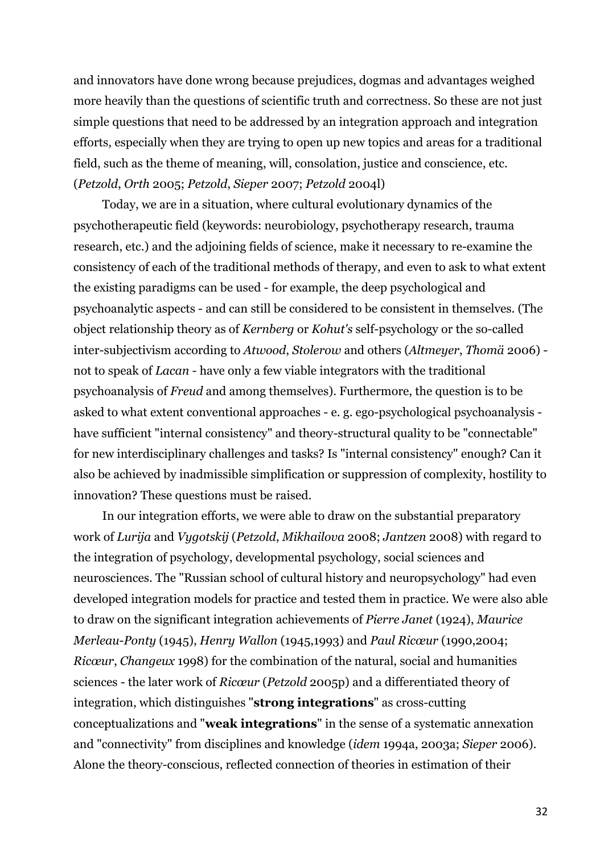and innovators have done wrong because prejudices, dogmas and advantages weighed more heavily than the questions of scientific truth and correctness. So these are not just simple questions that need to be addressed by an integration approach and integration efforts, especially when they are trying to open up new topics and areas for a traditional field, such as the theme of meaning, will, consolation, justice and conscience, etc. (*Petzold*, *Orth* 2005; *Petzold*, *Sieper* 2007; *Petzold* 2004l)

Today, we are in a situation, where cultural evolutionary dynamics of the psychotherapeutic field (keywords: neurobiology, psychotherapy research, trauma research, etc.) and the adjoining fields of science, make it necessary to re-examine the consistency of each of the traditional methods of therapy, and even to ask to what extent the existing paradigms can be used - for example, the deep psychological and psychoanalytic aspects - and can still be considered to be consistent in themselves. (The object relationship theory as of *Kernberg* or *Kohut's* self-psychology or the so-called inter-subjectivism according to *Atwood*, *Stolerow* and others (*Altmeyer*, *Thomä* 2006) not to speak of *Lacan* - have only a few viable integrators with the traditional psychoanalysis of *Freud* and among themselves). Furthermore, the question is to be asked to what extent conventional approaches - e. g. ego-psychological psychoanalysis have sufficient "internal consistency" and theory-structural quality to be "connectable" for new interdisciplinary challenges and tasks? Is "internal consistency" enough? Can it also be achieved by inadmissible simplification or suppression of complexity, hostility to innovation? These questions must be raised.

In our integration efforts, we were able to draw on the substantial preparatory work of *Lurija* and *Vygotskij* (*Petzold*, *Mikhailova* 2008; *Jantzen* 2008) with regard to the integration of psychology, developmental psychology, social sciences and neurosciences. The "Russian school of cultural history and neuropsychology" had even developed integration models for practice and tested them in practice. We were also able to draw on the significant integration achievements of *Pierre Janet* (1924), *Maurice Merleau*-*Ponty* (1945), *Henry Wallon* (1945,1993) and *Paul Ricœur* (1990,2004; *Ricœur*, *Changeux* 1998) for the combination of the natural, social and humanities sciences - the later work of *Ricœur* (*Petzold* 2005p) and a differentiated theory of integration, which distinguishes "**strong integrations**" as cross-cutting conceptualizations and "**weak integrations**" in the sense of a systematic annexation and "connectivity" from disciplines and knowledge (*idem* 1994a, 2003a; *Sieper* 2006). Alone the theory-conscious, reflected connection of theories in estimation of their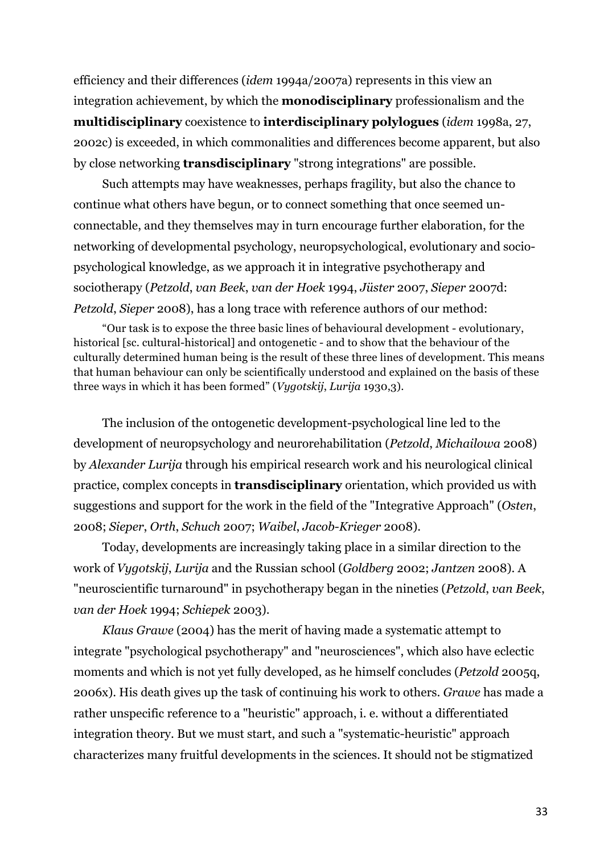efficiency and their differences (*idem* 1994a/2007a) represents in this view an integration achievement, by which the **monodisciplinary** professionalism and the **multidisciplinary** coexistence to **interdisciplinary polylogues** (*idem* 1998a, 27, 2002c) is exceeded, in which commonalities and differences become apparent, but also by close networking **transdisciplinary** "strong integrations" are possible.

Such attempts may have weaknesses, perhaps fragility, but also the chance to continue what others have begun, or to connect something that once seemed unconnectable, and they themselves may in turn encourage further elaboration, for the networking of developmental psychology, neuropsychological, evolutionary and sociopsychological knowledge, as we approach it in integrative psychotherapy and sociotherapy (*Petzold*, *van Beek*, *van der Hoek* 1994, *Jüster* 2007, *Sieper* 2007d: *Petzold*, *Sieper* 2008), has a long trace with reference authors of our method:

"Our task is to expose the three basic lines of behavioural development - evolutionary, historical [sc. cultural-historical] and ontogenetic - and to show that the behaviour of the culturally determined human being is the result of these three lines of development. This means that human behaviour can only be scientifically understood and explained on the basis of these three ways in which it has been formed" (*Vygotskij*, *Lurija* 1930,3).

The inclusion of the ontogenetic development-psychological line led to the development of neuropsychology and neurorehabilitation (*Petzold*, *Michailowa* 2008) by *Alexander Lurija* through his empirical research work and his neurological clinical practice, complex concepts in **transdisciplinary** orientation, which provided us with suggestions and support for the work in the field of the "Integrative Approach" (*Osten*, 2008; *Sieper*, *Orth*, *Schuch* 2007; *Waibel*, *Jacob*-*Krieger* 2008).

Today, developments are increasingly taking place in a similar direction to the work of *Vygotskij*, *Lurija* and the Russian school (*Goldberg* 2002; *Jantzen* 2008). A "neuroscientific turnaround" in psychotherapy began in the nineties (*Petzold*, *van Beek*, *van der Hoek* 1994; *Schiepek* 2003).

*Klaus Grawe* (2004) has the merit of having made a systematic attempt to integrate "psychological psychotherapy" and "neurosciences", which also have eclectic moments and which is not yet fully developed, as he himself concludes (*Petzold* 2005q, 2006x). His death gives up the task of continuing his work to others. *Grawe* has made a rather unspecific reference to a "heuristic" approach, i. e. without a differentiated integration theory. But we must start, and such a "systematic-heuristic" approach characterizes many fruitful developments in the sciences. It should not be stigmatized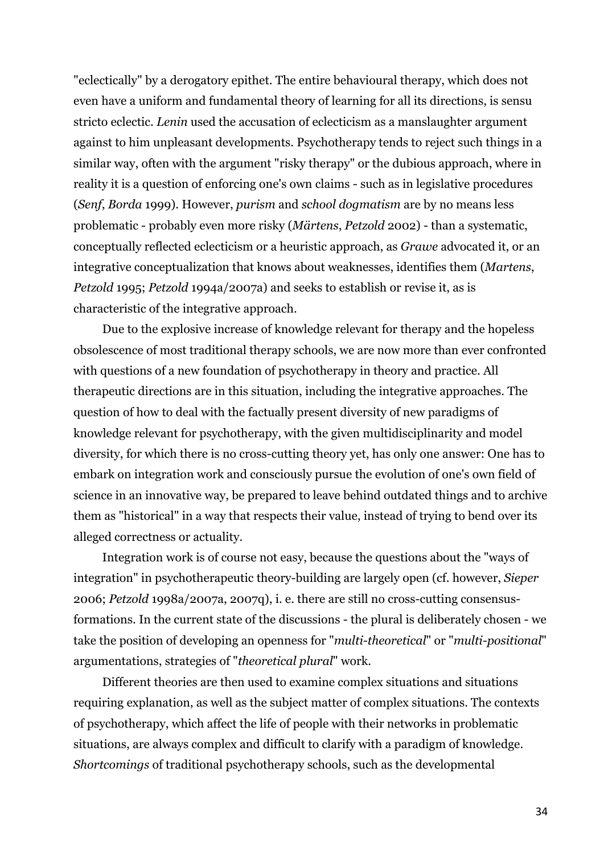"eclectically" by a derogatory epithet. The entire behavioural therapy, which does not even have a uniform and fundamental theory of learning for all its directions, is sensu stricto eclectic. *Lenin* used the accusation of eclecticism as a manslaughter argument against to him unpleasant developments. Psychotherapy tends to reject such things in a similar way, often with the argument "risky therapy" or the dubious approach, where in reality it is a question of enforcing one's own claims - such as in legislative procedures (*Senf*, *Borda* 1999). However, *purism* and *school dogmatism* are by no means less problematic - probably even more risky (*Märtens*, *Petzold* 2002) - than a systematic, conceptually reflected eclecticism or a heuristic approach, as *Grawe* advocated it, or an integrative conceptualization that knows about weaknesses, identifies them (*Martens*, *Petzold* 1995; *Petzold* 1994a/2007a) and seeks to establish or revise it, as is characteristic of the integrative approach.

Due to the explosive increase of knowledge relevant for therapy and the hopeless obsolescence of most traditional therapy schools, we are now more than ever confronted with questions of a new foundation of psychotherapy in theory and practice. All therapeutic directions are in this situation, including the integrative approaches. The question of how to deal with the factually present diversity of new paradigms of knowledge relevant for psychotherapy, with the given multidisciplinarity and model diversity, for which there is no cross-cutting theory yet, has only one answer: One has to embark on integration work and consciously pursue the evolution of one's own field of science in an innovative way, be prepared to leave behind outdated things and to archive them as "historical" in a way that respects their value, instead of trying to bend over its alleged correctness or actuality.

Integration work is of course not easy, because the questions about the "ways of integration" in psychotherapeutic theory-building are largely open (cf. however, *Sieper* 2006; *Petzold* 1998a/2007a, 2007q), i. e. there are still no cross-cutting consensusformations. In the current state of the discussions - the plural is deliberately chosen - we take the position of developing an openness for "*multi-theoretical*" or "*multi-positional*" argumentations, strategies of "*theoretical plural*" work.

Different theories are then used to examine complex situations and situations requiring explanation, as well as the subject matter of complex situations. The contexts of psychotherapy, which affect the life of people with their networks in problematic situations, are always complex and difficult to clarify with a paradigm of knowledge. *Shortcomings* of traditional psychotherapy schools, such as the developmental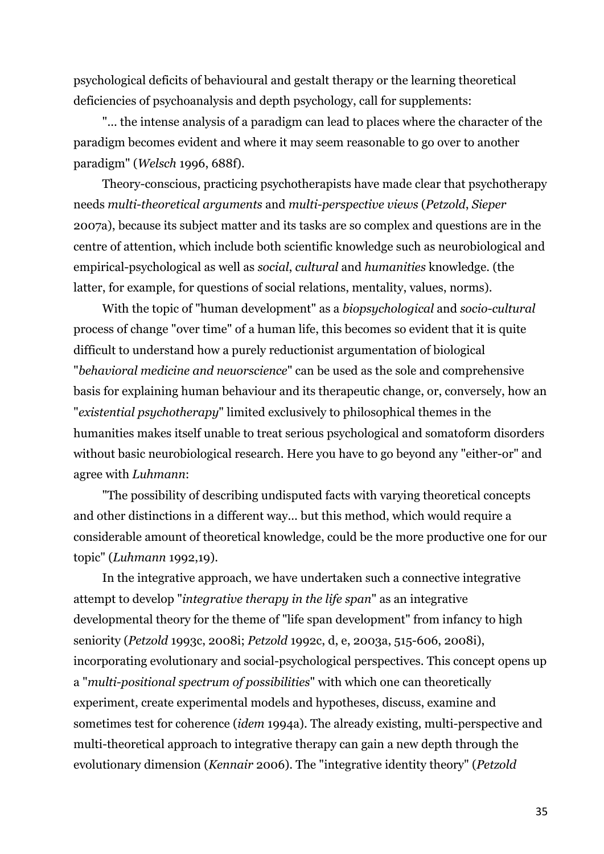psychological deficits of behavioural and gestalt therapy or the learning theoretical deficiencies of psychoanalysis and depth psychology, call for supplements:

"... the intense analysis of a paradigm can lead to places where the character of the paradigm becomes evident and where it may seem reasonable to go over to another paradigm" (*Welsch* 1996, 688f).

Theory-conscious, practicing psychotherapists have made clear that psychotherapy needs *multi-theoretical arguments* and *multi-perspective views* (*Petzold*, *Sieper* 2007a), because its subject matter and its tasks are so complex and questions are in the centre of attention, which include both scientific knowledge such as neurobiological and empirical-psychological as well as *social*, *cultural* and *humanities* knowledge. (the latter, for example, for questions of social relations, mentality, values, norms).

With the topic of "human development" as a *biopsychological* and *socio-cultural* process of change "over time" of a human life, this becomes so evident that it is quite difficult to understand how a purely reductionist argumentation of biological "*behavioral medicine and neuorscience*" can be used as the sole and comprehensive basis for explaining human behaviour and its therapeutic change, or, conversely, how an "*existential psychotherapy*" limited exclusively to philosophical themes in the humanities makes itself unable to treat serious psychological and somatoform disorders without basic neurobiological research. Here you have to go beyond any "either-or" and agree with *Luhmann*:

"The possibility of describing undisputed facts with varying theoretical concepts and other distinctions in a different way... but this method, which would require a considerable amount of theoretical knowledge, could be the more productive one for our topic" (*Luhmann* 1992,19).

In the integrative approach, we have undertaken such a connective integrative attempt to develop "*integrative therapy in the life span*" as an integrative developmental theory for the theme of "life span development" from infancy to high seniority (*Petzold* 1993c, 2008i; *Petzold* 1992c, d, e, 2003a, 515-606, 2008i), incorporating evolutionary and social-psychological perspectives. This concept opens up a "*multi-positional spectrum of possibilities*" with which one can theoretically experiment, create experimental models and hypotheses, discuss, examine and sometimes test for coherence (*idem* 1994a). The already existing, multi-perspective and multi-theoretical approach to integrative therapy can gain a new depth through the evolutionary dimension (*Kennair* 2006). The "integrative identity theory" (*Petzold*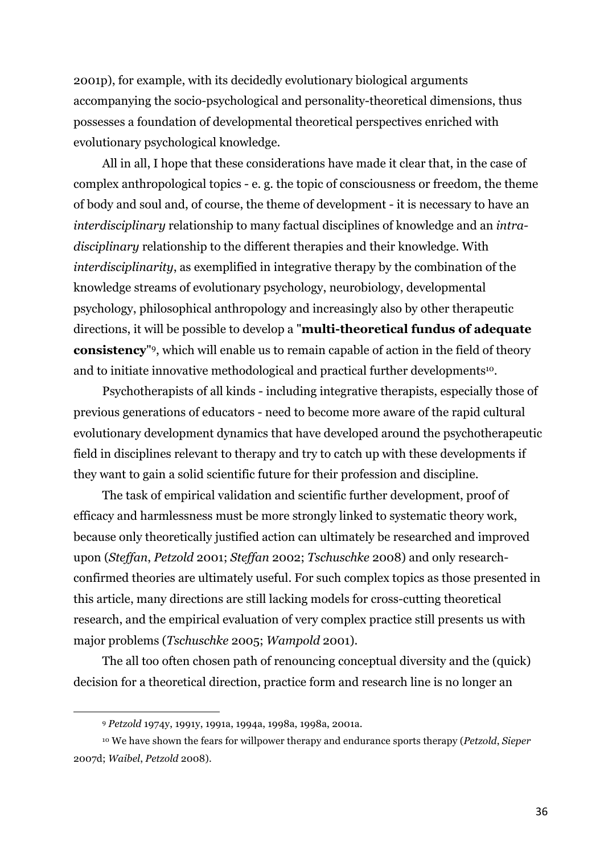2001p), for example, with its decidedly evolutionary biological arguments accompanying the socio-psychological and personality-theoretical dimensions, thus possesses a foundation of developmental theoretical perspectives enriched with evolutionary psychological knowledge.

All in all, I hope that these considerations have made it clear that, in the case of complex anthropological topics - e. g. the topic of consciousness or freedom, the theme of body and soul and, of course, the theme of development - it is necessary to have an *interdisciplinary* relationship to many factual disciplines of knowledge and an *intradisciplinary* relationship to the different therapies and their knowledge. With *interdisciplinarity*, as exemplified in integrative therapy by the combination of the knowledge streams of evolutionary psychology, neurobiology, developmental psychology, philosophical anthropology and increasingly also by other therapeutic directions, it will be possible to develop a "**multi-theoretical fundus of adequate consistency**<sup>"9</sup>, which will enable us to remain capable of action in the field of theory and to initiate innovative methodological and practical further developments<sup>10</sup>.

Psychotherapists of all kinds - including integrative therapists, especially those of previous generations of educators - need to become more aware of the rapid cultural evolutionary development dynamics that have developed around the psychotherapeutic field in disciplines relevant to therapy and try to catch up with these developments if they want to gain a solid scientific future for their profession and discipline.

The task of empirical validation and scientific further development, proof of efficacy and harmlessness must be more strongly linked to systematic theory work, because only theoretically justified action can ultimately be researched and improved upon (*Steffan*, *Petzold* 2001; *Steffan* 2002; *Tschuschke* 2008) and only researchconfirmed theories are ultimately useful. For such complex topics as those presented in this article, many directions are still lacking models for cross-cutting theoretical research, and the empirical evaluation of very complex practice still presents us with major problems (*Tschuschke* 2005; *Wampold* 2001).

The all too often chosen path of renouncing conceptual diversity and the (quick) decision for a theoretical direction, practice form and research line is no longer an

 

<sup>9</sup> *Petzold* 1974y, 1991y, 1991a, 1994a, 1998a, 1998a, 2001a.

<sup>10</sup> We have shown the fears for willpower therapy and endurance sports therapy (*Petzold*, *Sieper* 2007d; *Waibel*, *Petzold* 2008).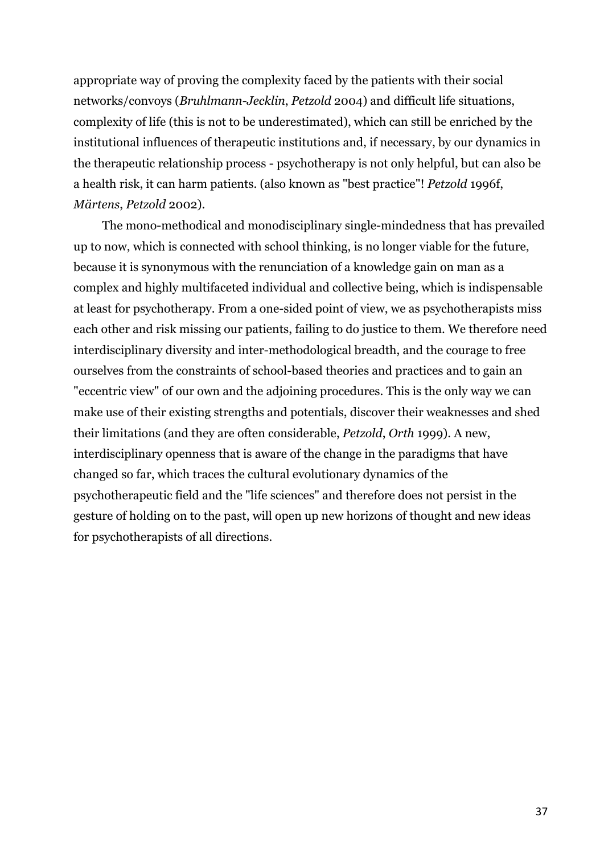appropriate way of proving the complexity faced by the patients with their social networks/convoys (*Bruhlmann*-*Jecklin*, *Petzold* 2004) and difficult life situations, complexity of life (this is not to be underestimated), which can still be enriched by the institutional influences of therapeutic institutions and, if necessary, by our dynamics in the therapeutic relationship process - psychotherapy is not only helpful, but can also be a health risk, it can harm patients. (also known as "best practice"! *Petzold* 1996f, *Märtens*, *Petzold* 2002).

The mono-methodical and monodisciplinary single-mindedness that has prevailed up to now, which is connected with school thinking, is no longer viable for the future, because it is synonymous with the renunciation of a knowledge gain on man as a complex and highly multifaceted individual and collective being, which is indispensable at least for psychotherapy. From a one-sided point of view, we as psychotherapists miss each other and risk missing our patients, failing to do justice to them. We therefore need interdisciplinary diversity and inter-methodological breadth, and the courage to free ourselves from the constraints of school-based theories and practices and to gain an "eccentric view" of our own and the adjoining procedures. This is the only way we can make use of their existing strengths and potentials, discover their weaknesses and shed their limitations (and they are often considerable, *Petzold*, *Orth* 1999). A new, interdisciplinary openness that is aware of the change in the paradigms that have changed so far, which traces the cultural evolutionary dynamics of the psychotherapeutic field and the "life sciences" and therefore does not persist in the gesture of holding on to the past, will open up new horizons of thought and new ideas for psychotherapists of all directions.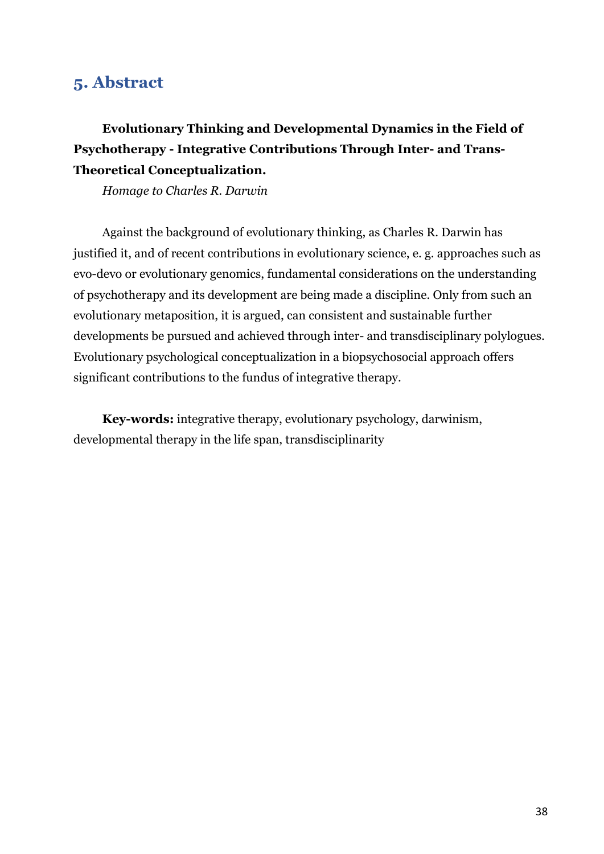#### **5. Abstract**

### **Evolutionary Thinking and Developmental Dynamics in the Field of Psychotherapy - Integrative Contributions Through Inter- and Trans-Theoretical Conceptualization.**

*Homage to Charles R. Darwin*

Against the background of evolutionary thinking, as Charles R. Darwin has justified it, and of recent contributions in evolutionary science, e. g. approaches such as evo-devo or evolutionary genomics, fundamental considerations on the understanding of psychotherapy and its development are being made a discipline. Only from such an evolutionary metaposition, it is argued, can consistent and sustainable further developments be pursued and achieved through inter- and transdisciplinary polylogues. Evolutionary psychological conceptualization in a biopsychosocial approach offers significant contributions to the fundus of integrative therapy.

**Key-words:** integrative therapy, evolutionary psychology, darwinism, developmental therapy in the life span, transdisciplinarity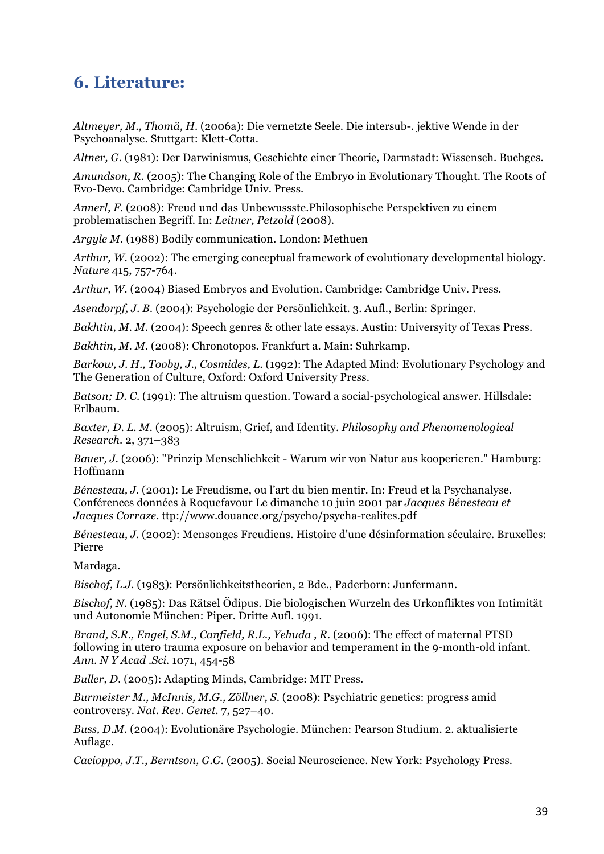## **6. Literature:**

*Altmeyer, M., Thomä, H*. (2006a): Die vernetzte Seele. Die intersub-. jektive Wende in der Psychoanalyse. Stuttgart: Klett-Cotta.

*Altner, G.* (1981): Der Darwinismus, Geschichte einer Theorie, Darmstadt: Wissensch. Buchges.

*Amundson, R.* (2005): The Changing Role of the Embryo in Evolutionary Thought. The Roots of Evo-Devo. Cambridge: Cambridge Univ. Press.

*Annerl, F.* (2008): Freud und das Unbewussste.Philosophische Perspektiven zu einem problematischen Begriff. In: *Leitner, Petzold* (2008).

*Argyle M.* (1988) Bodily communication. London: Methuen

*Arthur, W*. (2002): The emerging conceptual framework of evolutionary developmental biology. *Nature* 415, 757-764.

*Arthur, W.* (2004) Biased Embryos and Evolution. Cambridge: Cambridge Univ. Press.

*Asendorpf, J. B.* (2004): Psychologie der Persönlichkeit. 3. Aufl., Berlin: Springer.

*Bakhtin, M. M.* (2004): Speech genres & other late essays. Austin: Universyity of Texas Press.

*Bakhtin, M. M.* (2008): Chronotopos. Frankfurt a. Main: Suhrkamp.

*Barkow, J. H., Tooby, J., Cosmides, L.* (1992): The Adapted Mind: Evolutionary Psychology and The Generation of Culture, Oxford: Oxford University Press.

*Batson; D. C.* (1991): The altruism question. Toward a social-psychological answer. Hillsdale: Erlbaum.

*Baxter, D. L. M.* (2005): Altruism, Grief, and Identity. *Philosophy and Phenomenological Research*. 2, 371–383

*Bauer, J.* (2006): "Prinzip Menschlichkeit - Warum wir von Natur aus kooperieren." Hamburg: Hoffmann

*Bénesteau, J.* (2001): Le Freudisme, ou l'art du bien mentir. In: Freud et la Psychanalyse. Conférences données à Roquefavour Le dimanche 10 juin 2001 par *Jacques Bénesteau et Jacques Corraze*. ttp://www.douance.org/psycho/psycha-realites.pdf

*Bénesteau, J.* (2002): Mensonges Freudiens. Histoire d'une désinformation séculaire. Bruxelles: Pierre

Mardaga.

*Bischof, L.J*. (1983): Persönlichkeitstheorien, 2 Bde., Paderborn: Junfermann.

*Bischof, N.* (1985): Das Rätsel Ödipus. Die biologischen Wurzeln des Urkonfliktes von Intimität und Autonomie München: Piper. Dritte Aufl. 1991.

*Brand, S.R., Engel, S.M., Canfield, R.L., Yehuda , R.* (2006): The effect of maternal PTSD following in utero trauma exposure on behavior and temperament in the 9-month-old infant. *Ann. N Y Acad .Sci.* 1071, 454-58

*Buller, D.* (2005): Adapting Minds, Cambridge: MIT Press.

*Burmeister M., McInnis, M.G., Zöllner, S*. (2008): Psychiatric genetics: progress amid controversy. *Nat. Rev. Genet.* 7, 527–40.

*Buss, D.M.* (2004): Evolutionäre Psychologie. München: Pearson Studium. 2. aktualisierte Auflage.

*Cacioppo, J.T., Berntson, G.G.* (2005). Social Neuroscience. New York: Psychology Press.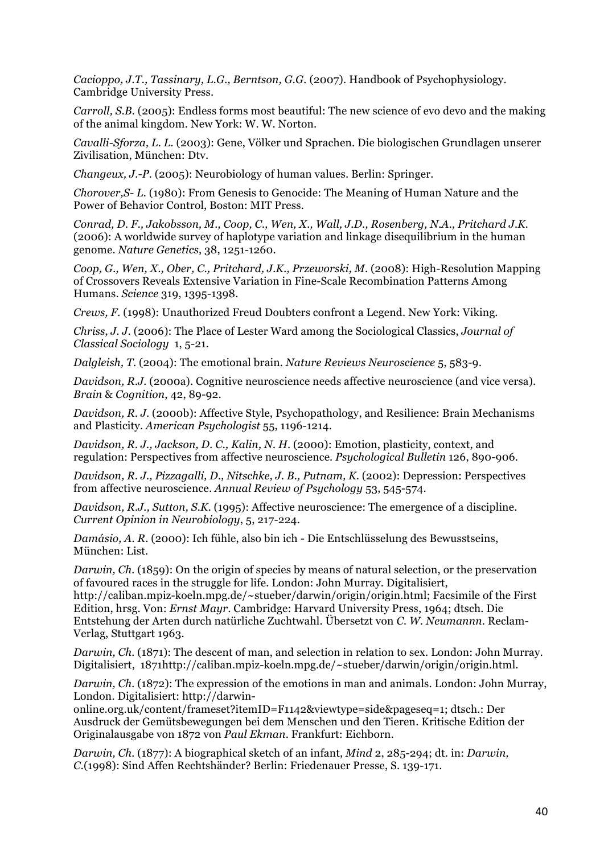*Cacioppo, J.T., Tassinary, L.G., Berntson, G.G.* (2007). Handbook of Psychophysiology. Cambridge University Press.

*Carroll, S.B.* (2005): Endless forms most beautiful: The new science of evo devo and the making of the animal kingdom. New York: W. W. Norton.

*Cavalli-Sforza, L. L.* (2003): Gene, Völker und Sprachen. Die biologischen Grundlagen unserer Zivilisation, München: Dtv.

*Changeux, J.-P.* (2005): Neurobiology of human values. Berlin: Springer.

*Chorover,S- L.* (1980): From Genesis to Genocide: The Meaning of Human Nature and the Power of Behavior Control, Boston: MIT Press.

*Conrad, D. F., Jakobsson, M., Coop, C., Wen, X., Wall, J.D., Rosenberg, N.A., Pritchard J.K.* (2006): A worldwide survey of haplotype variation and linkage disequilibrium in the human genome. *Nature Genetics*, 38, 1251-1260.

*Coop, G., Wen, X., Ober, C., Pritchard, J.K., Przeworski, M*. (2008): High-Resolution Mapping of Crossovers Reveals Extensive Variation in Fine-Scale Recombination Patterns Among Humans. *Science* 319, 1395-1398.

*Crews, F.* (1998): Unauthorized Freud Doubters confront a Legend. New York: Viking.

*Chriss, J. J.* (2006): The Place of Lester Ward among the Sociological Classics, *Journal of Classical Sociology* 1, 5-21.

*Dalgleish, T*. (2004): The emotional brain. *Nature Reviews Neuroscience* 5, 583-9.

*Davidson, R.J.* (2000a). Cognitive neuroscience needs affective neuroscience (and vice versa). *Brain* & *Cognition*, 42, 89-92.

*Davidson, R. J*. (2000b): Affective Style, Psychopathology, and Resilience: Brain Mechanisms and Plasticity. *American Psychologist* 55, 1196-1214.

*Davidson, R. J., Jackson, D. C., Kalin, N. H*. (2000): Emotion, plasticity, context, and regulation: Perspectives from affective neuroscience. *Psychological Bulletin* 126, 890-906.

*Davidson, R. J., Pizzagalli, D., Nitschke, J. B., Putnam, K*. (2002): Depression: Perspectives from affective neuroscience. *Annual Review of Psychology* 53, 545-574.

*Davidson, R.J., Sutton, S.K*. (1995): Affective neuroscience: The emergence of a discipline. *Current Opinion in Neurobiology*, 5, 217-224.

*Damásio, A. R*. (2000): Ich fühle, also bin ich - Die Entschlüsselung des Bewusstseins, München: List.

*Darwin, Ch.* (1859): On the origin of species by means of natural selection, or the preservation of favoured races in the struggle for life. London: John Murray. Digitalisiert, http://caliban.mpiz-koeln.mpg.de/~stueber/darwin/origin/origin.html; Facsimile of the First Edition, hrsg. Von: *Ernst Mayr*. Cambridge: Harvard University Press, 1964; dtsch. Die Entstehung der Arten durch natürliche Zuchtwahl. Übersetzt von *C. W. Neumannn*. Reclam-Verlag, Stuttgart 1963.

*Darwin, Ch.* (1871): The descent of man, and selection in relation to sex. London: John Murray. Digitalisiert, 1871http://caliban.mpiz-koeln.mpg.de/~stueber/darwin/origin/origin.html.

*Darwin, Ch.* (1872): The expression of the emotions in man and animals. London: John Murray, London. Digitalisiert: http://darwin-

online.org.uk/content/frameset?itemID=F1142&viewtype=side&pageseq=1; dtsch.: Der Ausdruck der Gemütsbewegungen bei dem Menschen und den Tieren. Kritische Edition der Originalausgabe von 1872 von *Paul Ekman*. Frankfurt: Eichborn.

*Darwin, Ch.* (1877): A biographical sketch of an infant, *Mind* 2, 285-294; dt. in: *Darwin, C.*(1998): Sind Affen Rechtshänder? Berlin: Friedenauer Presse, S. 139-171.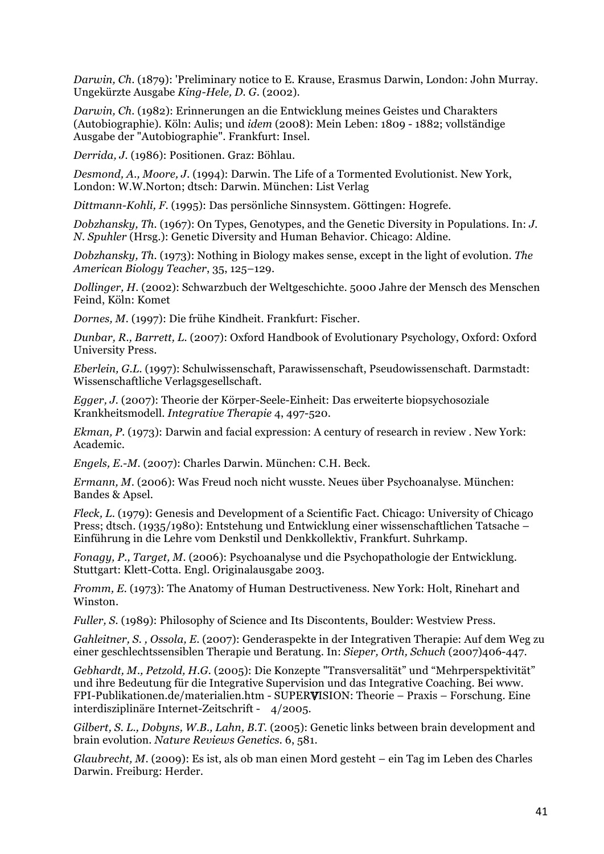*Darwin, Ch*. (1879): 'Preliminary notice to E. Krause, Erasmus Darwin, London: John Murray. Ungekürzte Ausgabe *King-Hele, D. G*. (2002).

*Darwin, Ch.* (1982): Erinnerungen an die Entwicklung meines Geistes und Charakters (Autobiographie). Köln: Aulis; und *idem* (2008): Mein Leben: 1809 - 1882; vollständige Ausgabe der "Autobiographie". Frankfurt: Insel.

*Derrida, J.* (1986): Positionen. Graz: Böhlau.

*Desmond, A., Moore, J.* (1994): Darwin. The Life of a Tormented Evolutionist. New York, London: W.W.Norton; dtsch: Darwin. München: List Verlag

*Dittmann-Kohli, F*. (1995): Das persönliche Sinnsystem. Göttingen: Hogrefe.

*Dobzhansky, Th.* (1967): On Types, Genotypes, and the Genetic Diversity in Populations. In: *J. N. Spuhler* (Hrsg.): Genetic Diversity and Human Behavior. Chicago: Aldine*.*

*Dobzhansky, Th.* (1973): Nothing in Biology makes sense, except in the light of evolution. *The American Biology Teacher*, 35, 125–129.

*Dollinger, H.* (2002): Schwarzbuch der Weltgeschichte. 5000 Jahre der Mensch des Menschen Feind, Köln: Komet

*Dornes, M.* (1997): Die frühe Kindheit. Frankfurt: Fischer.

*Dunbar, R., Barrett, L.* (2007): Oxford Handbook of Evolutionary Psychology, Oxford: Oxford University Press.

*Eberlein, G.L.* (1997): Schulwissenschaft, Parawissenschaft, Pseudowissenschaft. Darmstadt: Wissenschaftliche Verlagsgesellschaft.

*Egger, J.* (2007): Theorie der Körper-Seele-Einheit: Das erweiterte biopsychosoziale Krankheitsmodell. *Integrative Therapie* 4, 497-520.

*Ekman, P.* (1973): Darwin and facial expression: A century of research in review . New York: Academic.

*Engels, E.-M.* (2007): Charles Darwin. München: C.H. Beck.

*Ermann, M*. (2006): Was Freud noch nicht wusste. Neues über Psychoanalyse. München: Bandes & Apsel.

*Fleck, L*. (1979): Genesis and Development of a Scientific Fact. Chicago: University of Chicago Press; dtsch. (1935/1980): Entstehung und Entwicklung einer wissenschaftlichen Tatsache – Einführung in die Lehre vom Denkstil und Denkkollektiv, Frankfurt. Suhrkamp.

*Fonagy, P., Target, M.* (2006): Psychoanalyse und die Psychopathologie der Entwicklung. Stuttgart: Klett-Cotta. Engl. Originalausgabe 2003.

*Fromm, E.* (1973): The Anatomy of Human Destructiveness. New York: Holt, Rinehart and Winston.

*Fuller, S.* (1989): Philosophy of Science and Its Discontents, Boulder: Westview Press.

*Gahleitner, S. , Ossola, E*. (2007): Genderaspekte in der Integrativen Therapie: Auf dem Weg zu einer geschlechtssensiblen Therapie und Beratung. In: *Sieper, Orth, Schuch* (2007)406-447.

*Gebhardt, M., Petzold, H.G.* (2005): Die Konzepte "Transversalität" und "Mehrperspektivität" und ihre Bedeutung für die Integrative Supervision und das Integrative Coaching. Bei www. FPI-Publikationen.de/materialien.htm - SUPERVISION: Theorie – Praxis – Forschung. Eine interdisziplinäre Internet-Zeitschrift - 4/2005.

*Gilbert, S. L., Dobyns, W.B., Lahn, B.T.* (2005): Genetic links between brain development and brain evolution. *Nature Reviews Genetics.* 6, 581.

*Glaubrecht, M*. (2009): Es ist, als ob man einen Mord gesteht – ein Tag im Leben des Charles Darwin. Freiburg: Herder.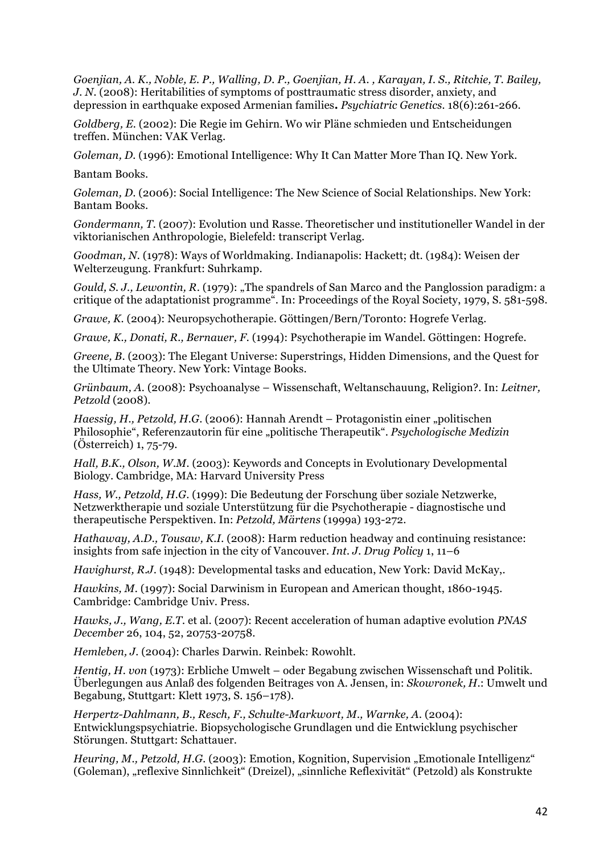*Goenjian, A. K., Noble, E. P., Walling, D. P., Goenjian, H. A. , Karayan, I. S., Ritchie, T. Bailey, J. N*. (2008): Heritabilities of symptoms of posttraumatic stress disorder, anxiety, and depression in earthquake exposed Armenian families**.** *Psychiatric Genetics.* 18(6):261-266.

*Goldberg, E.* (2002): Die Regie im Gehirn. Wo wir Pläne schmieden und Entscheidungen treffen. München: VAK Verlag.

*Goleman, D.* (1996): Emotional Intelligence: Why It Can Matter More Than IQ. New York.

Bantam Books.

*Goleman, D*. (2006): Social Intelligence: The New Science of Social Relationships. New York: Bantam Books.

*Gondermann, T.* (2007): Evolution und Rasse. Theoretischer und institutioneller Wandel in der viktorianischen Anthropologie, Bielefeld: transcript Verlag*.*

*Goodman, N.* (1978): Ways of Worldmaking. Indianapolis: Hackett; dt. (1984): Weisen der Welterzeugung. Frankfurt: Suhrkamp.

*Gould, S. J., Lewontin, R.* (1979): "The spandrels of San Marco and the Panglossion paradigm: a critique of the adaptationist programme". In: Proceedings of the Royal Society, 1979, S. 581-598.

*Grawe, K.* (2004): Neuropsychotherapie. Göttingen/Bern/Toronto: Hogrefe Verlag.

*Grawe, K., Donati, R., Bernauer, F.* (1994): Psychotherapie im Wandel. Göttingen: Hogrefe.

*Greene, B*. (2003): The Elegant Universe: Superstrings, Hidden Dimensions, and the Quest for the Ultimate Theory. New York: Vintage Books.

*Grünbaum, A.* (2008): Psychoanalyse – Wissenschaft, Weltanschauung, Religion?. In: *Leitner, Petzold* (2008).

*Haessig, H., Petzold, H.G*. (2006): Hannah Arendt – Protagonistin einer "politischen Philosophie", Referenzautorin für eine "politische Therapeutik". Psychologische Medizin (Österreich) 1, 75-79.

*Hall, B.K., Olson, W.M.* (2003): Keywords and Concepts in Evolutionary Developmental Biology. Cambridge, MA: Harvard University Press

*Hass, W., Petzold, H.G*. (1999): Die Bedeutung der Forschung über soziale Netzwerke, Netzwerktherapie und soziale Unterstützung für die Psychotherapie - diagnostische und therapeutische Perspektiven. In: *Petzold, Märtens* (1999a) 193-272.

*Hathaway, A.D., Tousaw, K.I.* (2008): Harm reduction headway and continuing resistance: insights from safe injection in the city of Vancouver. *Int. J. Drug Policy* 1, 11–6

*Havighurst, R.J*. (1948): Developmental tasks and education, New York: David McKay,.

*Hawkins, M.* (1997): Social Darwinism in European and American thought, 1860-1945. Cambridge: Cambridge Univ. Press.

*Hawks, J., Wang, E.T.* et al. (2007): Recent acceleration of human adaptive evolution *PNAS December* 26, 104, 52, 20753-20758.

*Hemleben, J.* (2004): Charles Darwin. Reinbek: Rowohlt.

*Hentig, H. von* (1973): Erbliche Umwelt – oder Begabung zwischen Wissenschaft und Politik. Überlegungen aus Anlaß des folgenden Beitrages von A. Jensen, in: *Skowronek, H*.: Umwelt und Begabung, Stuttgart: Klett 1973, S. 156–178).

*Herpertz-Dahlmann, B., Resch, F., Schulte-Markwort, M., Warnke, A.* (2004): Entwicklungspsychiatrie. Biopsychologische Grundlagen und die Entwicklung psychischer Störungen. Stuttgart: Schattauer.

*Heuring, M., Petzold, H.G.* (2003): Emotion, Kognition, Supervision "Emotionale Intelligenz" (Goleman), "reflexive Sinnlichkeit" (Dreizel), "sinnliche Reflexivität" (Petzold) als Konstrukte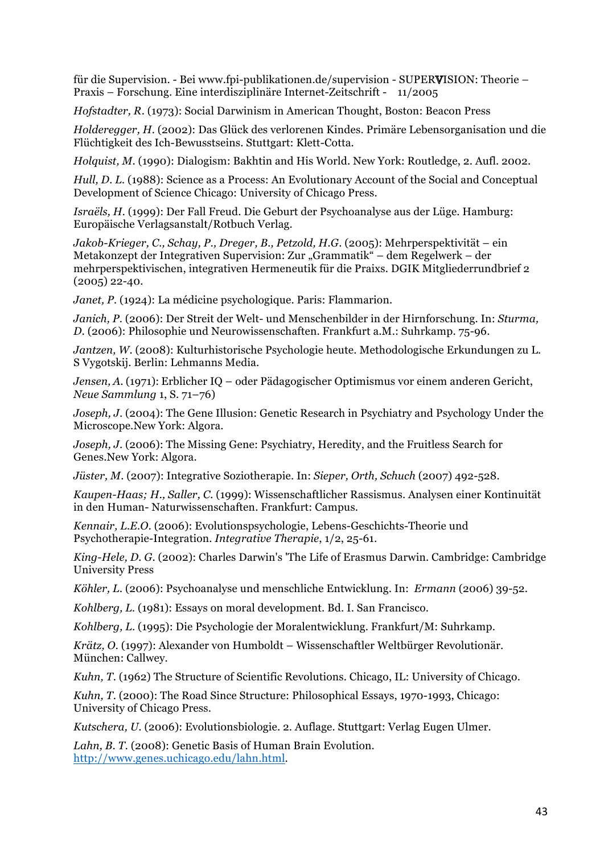für die Supervision. - Bei www.fpi-publikationen.de/supervision - SUPERVISION: Theorie – Praxis – Forschung. Eine interdisziplinäre Internet-Zeitschrift - 11/2005

*Hofstadter, R*. (1973): Social Darwinism in American Thought, Boston: Beacon Press

*Holderegger, H*. (2002): Das Glück des verlorenen Kindes. Primäre Lebensorganisation und die Flüchtigkeit des Ich-Bewusstseins. Stuttgart: Klett-Cotta.

*Holquist, M*. (1990): Dialogism: Bakhtin and His World. New York: Routledge, 2. Aufl. 2002.

*Hull, D. L.* (1988): Science as a Process: An Evolutionary Account of the Social and Conceptual Development of Science Chicago: University of Chicago Press.

*Israëls, H.* (1999): Der Fall Freud. Die Geburt der Psychoanalyse aus der Lüge. Hamburg: Europäische Verlagsanstalt/Rotbuch Verlag.

*Jakob-Krieger, C., Schay, P., Dreger, B., Petzold, H.G*. (2005): Mehrperspektivität – ein Metakonzept der Integrativen Supervision: Zur "Grammatik" – dem Regelwerk – der mehrperspektivischen, integrativen Hermeneutik für die Praixs. DGIK Mitgliederrundbrief 2 (2005) 22-40.

*Janet, P.* (1924): La médicine psychologique. Paris: Flammarion.

*Janich, P*. (2006): Der Streit der Welt- und Menschenbilder in der Hirnforschung. In: *Sturma, D.* (2006): Philosophie und Neurowissenschaften. Frankfurt a.M.: Suhrkamp. 75-96.

*Jantzen, W*. (2008): Kulturhistorische Psychologie heute. Methodologische Erkundungen zu L. S Vygotskij. Berlin: Lehmanns Media.

*Jensen, A.* (1971): Erblicher IQ – oder Pädagogischer Optimismus vor einem anderen Gericht, *Neue Sammlung* 1, S. 71–76)

*Joseph, J.* (2004): The Gene Illusion: Genetic Research in Psychiatry and Psychology Under the Microscope.New York: Algora.

*Joseph, J*. (2006): The Missing Gene: Psychiatry, Heredity, and the Fruitless Search for Genes.New York: Algora.

*Jüster, M*. (2007): Integrative Soziotherapie. In: *Sieper, Orth, Schuch* (2007) 492-528.

*Kaupen-Haas; H., Saller, C.* (1999): Wissenschaftlicher Rassismus. Analysen einer Kontinuität in den Human- Naturwissenschaften. Frankfurt: Campus.

*Kennair, L.E.O.* (2006): Evolutionspsychologie, Lebens-Geschichts-Theorie und Psychotherapie-Integration. *Integrative Therapie*, 1/2, 25-61.

*King-Hele, D. G*. (2002): Charles Darwin's 'The Life of Erasmus Darwin. Cambridge: Cambridge University Press

*Köhler, L.* (2006): Psychoanalyse und menschliche Entwicklung. In: *Ermann* (2006) 39-52.

*Kohlberg, L.* (1981): Essays on moral development. Bd. I. San Francisco.

*Kohlberg, L*. (1995): Die Psychologie der Moralentwicklung. Frankfurt/M: Suhrkamp.

*Krätz, O.* (1997): Alexander von Humboldt – Wissenschaftler Weltbürger Revolutionär. München: Callwey.

*Kuhn, T*. (1962) The Structure of Scientific Revolutions. Chicago, IL: University of Chicago.

*Kuhn, T*. (2000): The Road Since Structure: Philosophical Essays, 1970-1993, Chicago: University of Chicago Press.

*Kutschera, U.* (2006): Evolutionsbiologie. 2. Auflage. Stuttgart: Verlag Eugen Ulmer.

*Lahn, B*. *T.* (2008): Genetic Basis of Human Brain Evolution. http://www.genes.uchicago.edu/lahn.html.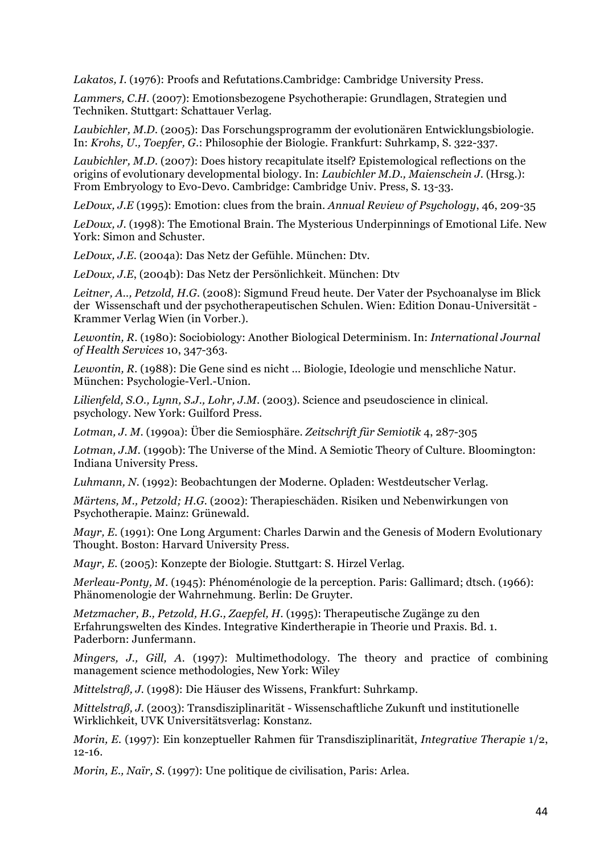*Lakatos, I*. (1976): Proofs and Refutations.Cambridge: Cambridge University Press.

*Lammers, C.H.* (2007): Emotionsbezogene Psychotherapie: Grundlagen, Strategien und Techniken. Stuttgart: Schattauer Verlag.

*Laubichler, M.D.* (2005): Das Forschungsprogramm der evolutionären Entwicklungsbiologie. In: *Krohs, U., Toepfer, G*.: Philosophie der Biologie. Frankfurt: Suhrkamp, S. 322-337.

*Laubichler, M.D.* (2007): Does history recapitulate itself? Epistemological reflections on the origins of evolutionary developmental biology. In: *Laubichler M.D., Maienschein J*. (Hrsg.): From Embryology to Evo-Devo. Cambridge: Cambridge Univ. Press, S. 13-33.

*LeDoux, J.E* (1995): Emotion: clues from the brain. *Annual Review of Psychology*, 46, 209-35

*LeDoux, J*. (1998): The Emotional Brain. The Mysterious Underpinnings of Emotional Life. New York: Simon and Schuster.

*LeDoux, J.E*. (2004a): Das Netz der Gefühle. München: Dtv.

*LeDoux, J.E*, (2004b): Das Netz der Persönlichkeit. München: Dtv

*Leitner, A.., Petzold, H.G.* (2008): Sigmund Freud heute. Der Vater der Psychoanalyse im Blick der Wissenschaft und der psychotherapeutischen Schulen. Wien: Edition Donau-Universität - Krammer Verlag Wien (in Vorber.).

*Lewontin, R*. (1980): Sociobiology: Another Biological Determinism. In: *International Journal of Health Services* 10, 347-363.

*Lewontin, R.* (1988): Die Gene sind es nicht ... Biologie, Ideologie und menschliche Natur. München: Psychologie-Verl.-Union.

*Lilienfeld, S.O., Lynn, S.J., Lohr, J.M*. (2003). Science and pseudoscience in clinical. psychology. New York: Guilford Press.

*Lotman, J. M*. (1990a): Über die Semiosphäre. *Zeitschrift für Semiotik* 4, 287-305

Lotman, J.M. (1990b): The Universe of the Mind. A Semiotic Theory of Culture. Bloomington: Indiana University Press.

*Luhmann, N.* (1992): Beobachtungen der Moderne. Opladen: Westdeutscher Verlag.

*Märtens, M., Petzold; H.G.* (2002): Therapieschäden. Risiken und Nebenwirkungen von Psychotherapie. Mainz: Grünewald.

*Mayr, E.* (1991): One Long Argument: Charles Darwin and the Genesis of Modern Evolutionary Thought. Boston: Harvard University Press.

*Mayr, E.* (2005): Konzepte der Biologie. Stuttgart: S. Hirzel Verlag.

*Merleau-Ponty, M.* (1945): Phénoménologie de la perception. Paris: Gallimard; dtsch. (1966): Phänomenologie der Wahrnehmung. Berlin: De Gruyter.

*Metzmacher, B., Petzold, H.G., Zaepfel, H.* (1995): Therapeutische Zugänge zu den Erfahrungswelten des Kindes. Integrative Kindertherapie in Theorie und Praxis. Bd. 1. Paderborn: Junfermann.

*Mingers, J., Gill, A.* (1997): Multimethodology. The theory and practice of combining management science methodologies, New York: Wiley

*Mittelstraß, J.* (1998): Die Häuser des Wissens, Frankfurt: Suhrkamp.

*Mittelstraß, J.* (2003): Transdisziplinarität *-* Wissenschaftliche Zukunft und institutionelle Wirklichkeit, UVK Universitätsverlag: Konstanz.

*Morin, E.* (1997): Ein konzeptueller Rahmen für Transdisziplinarität, *Integrative Therapie* 1/2, 12-16.

*Morin, E., Naïr, S.* (1997): Une politique de civilisation, Paris: Arlea.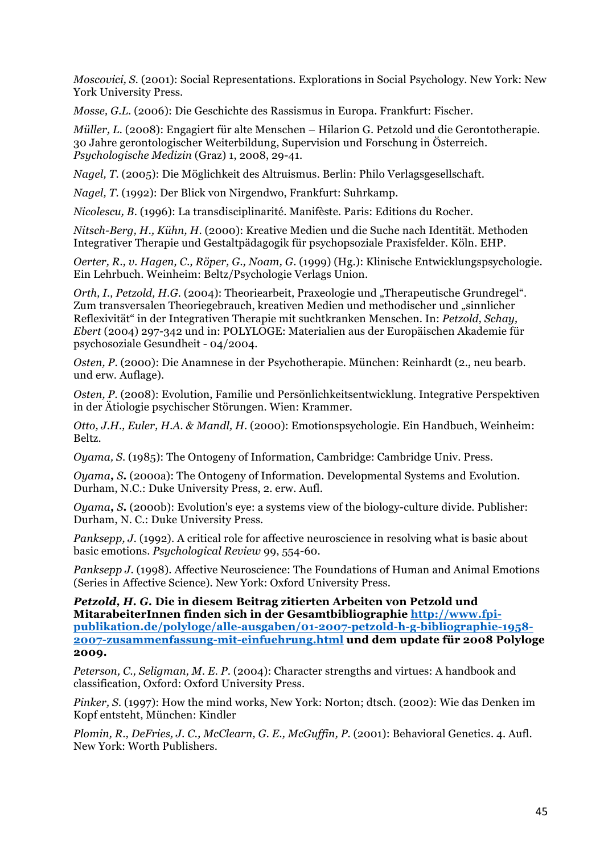*Moscovici, S.* (2001): Social Representations. Explorations in Social Psychology. New York: New York University Press.

*Mosse, G.L.* (2006): Die Geschichte des Rassismus in Europa. Frankfurt: Fischer.

*Müller, L.* (2008): Engagiert für alte Menschen – Hilarion G. Petzold und die Gerontotherapie. 30 Jahre gerontologischer Weiterbildung, Supervision und Forschung in Österreich. *Psychologische Medizin* (Graz) 1, 2008, 29-41.

*Nagel, T*. (2005): Die Möglichkeit des Altruismus. Berlin: Philo Verlagsgesellschaft.

*Nagel, T*. (1992): Der Blick von Nirgendwo, Frankfurt: Suhrkamp.

*Nicolescu, B*. (1996): La transdisciplinarité. Manifèste. Paris: Editions du Rocher.

*Nitsch-Berg, H., Kühn, H*. (2000): Kreative Medien und die Suche nach Identität. Methoden Integrativer Therapie und Gestaltpädagogik für psychopsoziale Praxisfelder. Köln. EHP.

*Oerter, R., v. Hagen, C., Röper, G., Noam, G*. (1999) (Hg.): Klinische Entwicklungspsychologie. Ein Lehrbuch. Weinheim: Beltz/Psychologie Verlags Union.

*Orth, I., Petzold, H.G.* (2004): Theoriearbeit, Praxeologie und "Therapeutische Grundregel". Zum transversalen Theoriegebrauch, kreativen Medien und methodischer und "sinnlicher Reflexivität" in der Integrativen Therapie mit suchtkranken Menschen. In: *Petzold, Schay, Ebert* (2004) 297-342 und in: POLYLOGE: Materialien aus der Europäischen Akademie für psychosoziale Gesundheit - 04/2004.

*Osten, P*. (2000): Die Anamnese in der Psychotherapie. München: Reinhardt (2., neu bearb. und erw. Auflage).

*Osten, P.* (2008): Evolution, Familie und Persönlichkeitsentwicklung. Integrative Perspektiven in der Ätiologie psychischer Störungen. Wien: Krammer.

*Otto, J.H., Euler, H.A. & Mandl, H*. (2000): Emotionspsychologie. Ein Handbuch, Weinheim: Beltz.

*Oyama, S*. (1985): The Ontogeny of Information, Cambridge: Cambridge Univ. Press.

*Oyama, S.* (2000a): The Ontogeny of Information. Developmental Systems and Evolution. Durham, N.C.: Duke University Press, 2. erw. Aufl.

*Oyama, S.* (2000b): Evolution's eye: a systems view of the biology-culture divide. Publisher: Durham, N. C.: Duke University Press.

*Panksepp, J.* (1992). A critical role for affective neuroscience in resolving what is basic about basic emotions. *Psychological Review* 99, 554-60.

*Panksepp J*. (1998). Affective Neuroscience: The Foundations of Human and Animal Emotions (Series in Affective Science). New York: Oxford University Press.

*Petzold, H. G.* **Die in diesem Beitrag zitierten Arbeiten von Petzold und MitarabeiterInnen finden sich in der Gesamtbibliographie http://www.fpipublikation.de/polyloge/alle-ausgaben/01-2007-petzold-h-g-bibliographie-1958- 2007-zusammenfassung-mit-einfuehrung.html und dem update für 2008 Polyloge 2009.** 

*Peterson, C., Seligman, M. E. P*. (2004): Character strengths and virtues: A handbook and classification, Oxford: Oxford University Press.

*Pinker, S.* (1997): How the mind works, New York: Norton; dtsch. (2002): Wie das Denken im Kopf entsteht, München: Kindler

*Plomin, R., DeFries, J. C., McClearn, G. E., McGuffin, P*. (2001): Behavioral Genetics. 4. Aufl. New York: Worth Publishers.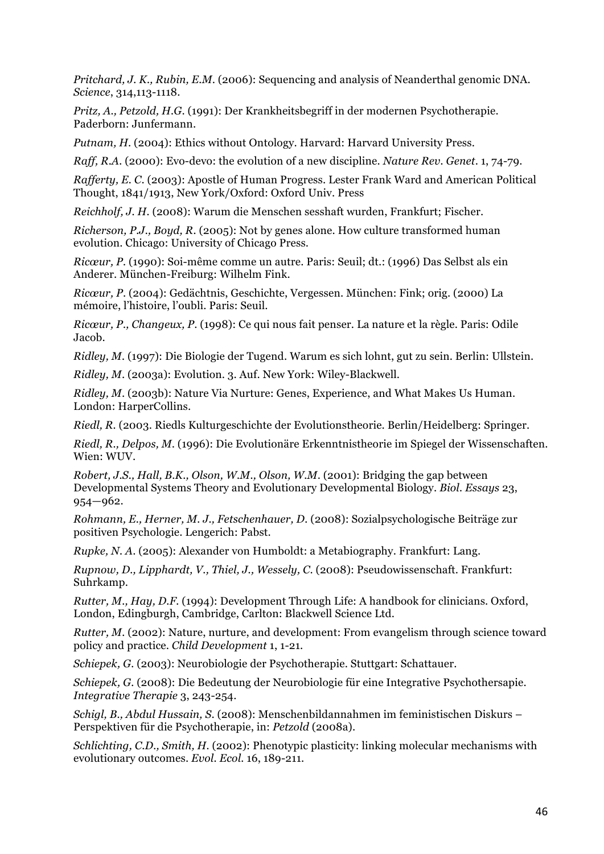*Pritchard, J. K., Rubin, E.M*. (2006): Sequencing and analysis of Neanderthal genomic DNA. *Science*, 314,113-1118.

*Pritz, A., Petzold, H.G*. (1991): Der Krankheitsbegriff in der modernen Psychotherapie. Paderborn: Junfermann.

*Putnam, H.* (2004): Ethics without Ontology. Harvard: Harvard University Press.

*Raff, R.A.* (2000): Evo-devo: the evolution of a new discipline. *Nature Rev. Genet*. 1, 74-79.

*Rafferty, E. C*. (2003): Apostle of Human Progress. Lester Frank Ward and American Political Thought, 1841/1913, New York/Oxford: Oxford Univ. Press

*Reichholf, J. H.* (2008): Warum die Menschen sesshaft wurden, Frankfurt; Fischer.

*Richerson, P.J., Boyd, R.* (2005): Not by genes alone. How culture transformed human evolution. Chicago: University of Chicago Press.

*Ricœur, P.* (1990): Soi-même comme un autre. Paris: Seuil; dt.: (1996) Das Selbst als ein Anderer. München-Freiburg: Wilhelm Fink.

*Ricœur, P*. (2004): Gedächtnis, Geschichte, Vergessen. München: Fink; orig. (2000) La mémoire, l'histoire, l'oubli. Paris: Seuil.

*Ricœur, P., Changeux, P*. (1998): Ce qui nous fait penser. La nature et la règle. Paris: Odile Jacob.

*Ridley, M.* (1997): Die Biologie der Tugend. Warum es sich lohnt, gut zu sein. Berlin: Ullstein.

*Ridley, M*. (2003a): Evolution. 3. Auf. New York: Wiley-Blackwell.

*Ridley, M*. (2003b): Nature Via Nurture: Genes, Experience, and What Makes Us Human. London: HarperCollins.

*Riedl, R.* (2003. Riedls Kulturgeschichte der Evolutionstheorie. Berlin/Heidelberg: Springer.

*Riedl, R., Delpos, M*. (1996): Die Evolutionäre Erkenntnistheorie im Spiegel der Wissenschaften. Wien: WUV.

*Robert, J.S., Hall, B.K., Olson, W.M., Olson, W.M*. (2001): Bridging the gap between Developmental Systems Theory and Evolutionary Developmental Biology. *Biol. Essays* 23, 954—962.

*Rohmann, E., Herner, M. J., Fetschenhauer, D.* (2008): Sozialpsychologische Beiträge zur positiven Psychologie. Lengerich: Pabst.

*Rupke, N. A*. (2005): Alexander von Humboldt: a Metabiography. Frankfurt: Lang.

*Rupnow, D., Lipphardt, V., Thiel, J., Wessely, C*. (2008): Pseudowissenschaft. Frankfurt: Suhrkamp.

*Rutter, M., Hay, D.F.* (1994): Development Through Life: A handbook for clinicians. Oxford, London, Edingburgh, Cambridge, Carlton: Blackwell Science Ltd.

*Rutter, M.* (2002): Nature, nurture, and development: From evangelism through science toward policy and practice. *Child Development* 1, 1-21.

*Schiepek, G.* (2003): Neurobiologie der Psychotherapie. Stuttgart: Schattauer.

*Schiepek, G.* (2008): Die Bedeutung der Neurobiologie für eine Integrative Psychothersapie. *Integrative Therapie* 3, 243-254.

*Schigl, B., Abdul Hussain, S*. (2008): Menschenbildannahmen im feministischen Diskurs – Perspektiven für die Psychotherapie, in: *Petzold* (2008a).

*Schlichting, C.D., Smith, H.* (2002): Phenotypic plasticity: linking molecular mechanisms with evolutionary outcomes. *Evol. Ecol.* 16, 189-211.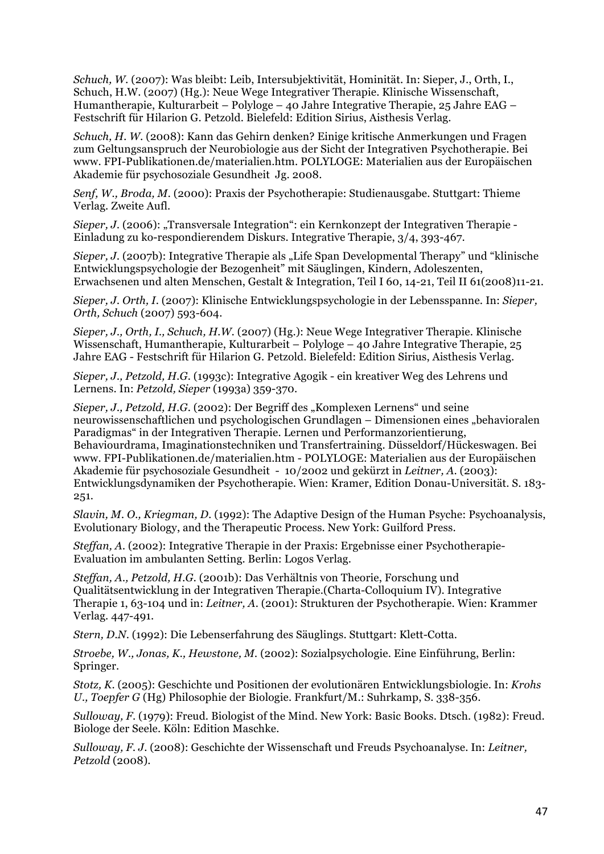*Schuch, W.* (2007): Was bleibt: Leib, Intersubjektivität, Hominität. In: Sieper, J., Orth, I., Schuch, H.W. (2007) (Hg.): Neue Wege Integrativer Therapie. Klinische Wissenschaft, Humantherapie, Kulturarbeit – Polyloge – 40 Jahre Integrative Therapie, 25 Jahre EAG – Festschrift für Hilarion G. Petzold. Bielefeld: Edition Sirius, Aisthesis Verlag.

*Schuch, H. W.* (2008): Kann das Gehirn denken? Einige kritische Anmerkungen und Fragen zum Geltungsanspruch der Neurobiologie aus der Sicht der Integrativen Psychotherapie. Bei www. FPI-Publikationen.de/materialien.htm. POLYLOGE: Materialien aus der Europäischen Akademie für psychosoziale Gesundheit Jg. 2008.

*Senf, W., Broda, M.* (2000): Praxis der Psychotherapie: Studienausgabe. Stuttgart: Thieme Verlag. Zweite Aufl.

*Sieper, J.* (2006): "Transversale Integration": ein Kernkonzept der Integrativen Therapie -Einladung zu ko-respondierendem Diskurs. Integrative Therapie, 3/4, 393-467.

*Sieper, J.* (2007b): Integrative Therapie als "Life Span Developmental Therapy" und "klinische Entwicklungspsychologie der Bezogenheit" mit Säuglingen, Kindern, Adoleszenten, Erwachsenen und alten Menschen, Gestalt & Integration, Teil I 60, 14-21, Teil II 61(2008)11-21.

*Sieper, J. Orth, I*. (2007): Klinische Entwicklungspsychologie in der Lebensspanne. In: *Sieper, Orth, Schuch* (2007) 593-604.

*Sieper, J., Orth, I., Schuch, H.W.* (2007) (Hg.): Neue Wege Integrativer Therapie. Klinische Wissenschaft, Humantherapie, Kulturarbeit – Polyloge – 40 Jahre Integrative Therapie, 25 Jahre EAG - Festschrift für Hilarion G. Petzold. Bielefeld: Edition Sirius, Aisthesis Verlag.

*Sieper, J., Petzold, H.G*. (1993c): Integrative Agogik - ein kreativer Weg des Lehrens und Lernens. In: *Petzold, Sieper* (1993a) 359-370.

*Sieper, J., Petzold, H.G.* (2002): Der Begriff des "Komplexen Lernens" und seine neurowissenschaftlichen und psychologischen Grundlagen – Dimensionen eines "behavioralen Paradigmas" in der Integrativen Therapie. Lernen und Performanzorientierung, Behaviourdrama, Imaginationstechniken und Transfertraining. Düsseldorf/Hückeswagen. Bei www. FPI-Publikationen.de/materialien.htm - POLYLOGE: Materialien aus der Europäischen Akademie für psychosoziale Gesundheit - 10/2002 und gekürzt in *Leitner, A*. (2003): Entwicklungsdynamiken der Psychotherapie. Wien: Kramer, Edition Donau-Universität. S. 183- 251.

*Slavin, M. O., Kriegman, D.* (1992): The Adaptive Design of the Human Psyche: Psychoanalysis, Evolutionary Biology, and the Therapeutic Process. New York: Guilford Press.

*Steffan, A.* (2002): Integrative Therapie in der Praxis: Ergebnisse einer Psychotherapie-Evaluation im ambulanten Setting. Berlin: Logos Verlag.

*Steffan, A., Petzold, H.G.* (2001b): Das Verhältnis von Theorie, Forschung und Qualitätsentwicklung in der Integrativen Therapie.(Charta-Colloquium IV). Integrative Therapie 1, 63-104 und in: *Leitner, A*. (2001): Strukturen der Psychotherapie. Wien: Krammer Verlag. 447-491.

*Stern, D.N*. (1992): Die Lebenserfahrung des Säuglings. Stuttgart: Klett-Cotta.

*Stroebe, W., Jonas, K., Hewstone, M.* (2002): Sozialpsychologie. Eine Einführung, Berlin: Springer.

*Stotz, K*. (2005): Geschichte und Positionen der evolutionären Entwicklungsbiologie. In: *Krohs U., Toepfer G* (Hg) Philosophie der Biologie. Frankfurt/M.: Suhrkamp, S. 338-356.

*Sulloway, F*. (1979): Freud. Biologist of the Mind. New York: Basic Books. Dtsch. (1982): Freud. Biologe der Seele. Köln: Edition Maschke.

*Sulloway, F. J*. (2008): Geschichte der Wissenschaft und Freuds Psychoanalyse. In: *Leitner, Petzold* (2008).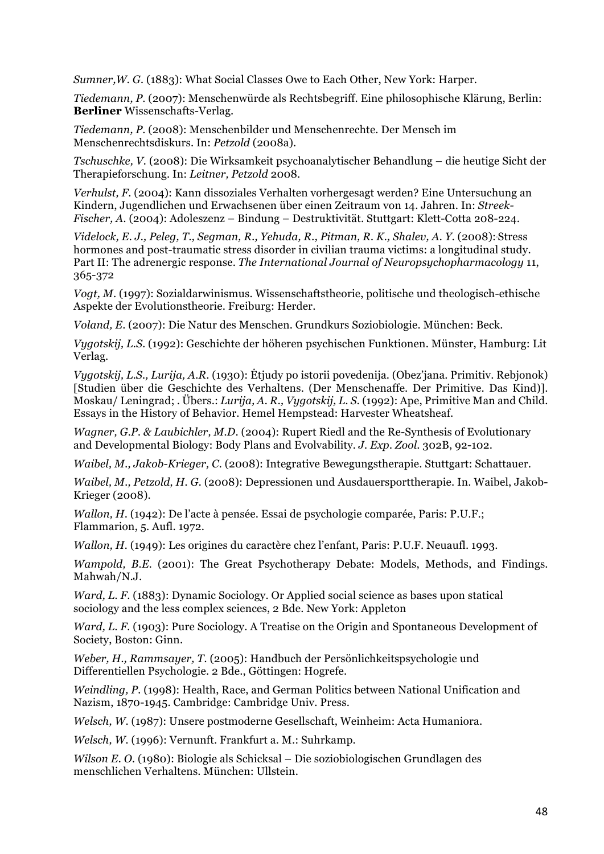*Sumner,W. G.* (1883): What Social Classes Owe to Each Other, New York: Harper.

*Tiedemann, P*. (2007): Menschenwürde als Rechtsbegriff. Eine philosophische Klärung, Berlin: **Berliner** Wissenschafts-Verlag.

*Tiedemann, P*. (2008): Menschenbilder und Menschenrechte. Der Mensch im Menschenrechtsdiskurs. In: *Petzold* (2008a).

*Tschuschke, V.* (2008): Die Wirksamkeit psychoanalytischer Behandlung – die heutige Sicht der Therapieforschung. In: *Leitner, Petzold* 2008.

*Verhulst, F*. (2004): Kann dissoziales Verhalten vorhergesagt werden? Eine Untersuchung an Kindern, Jugendlichen und Erwachsenen über einen Zeitraum von 14. Jahren. In: *Streek-Fischer, A.* (2004): Adoleszenz – Bindung – Destruktivität. Stuttgart: Klett-Cotta 208-224.

*Videlock, E. J., Peleg, T., Segman, R., Yehuda, R., Pitman, R. K., Shalev, A. Y.* (2008):. Stress hormones and post-traumatic stress disorder in civilian trauma victims: a longitudinal study. Part II: The adrenergic response. *The International Journal of Neuropsychopharmacology* 11, 365-372

*Vogt, M*. (1997): Sozialdarwinismus. Wissenschaftstheorie, politische und theologisch-ethische Aspekte der Evolutionstheorie. Freiburg: Herder.

*Voland, E*. (2007): Die Natur des Menschen. Grundkurs Soziobiologie. München: Beck.

*Vygotskij, L.S.* (1992): Geschichte der höheren psychischen Funktionen. Münster, Hamburg: Lit Verlag.

*Vygotskij, L.S., Lurija, A.R*. (1930): Ėtjudy po istorii povedenija. (Obez'jana. Primitiv. Rebjonok) [Studien über die Geschichte des Verhaltens. (Der Menschenaffe. Der Primitive. Das Kind)]. Moskau/ Leningrad; . Übers.: *Lurija, A. R., Vygotskij, L. S.* (1992): Ape, Primitive Man and Child. Essays in the History of Behavior. Hemel Hempstead: Harvester Wheatsheaf.

*Wagner, G.P. & Laubichler, M.D*. (2004): Rupert Riedl and the Re-Synthesis of Evolutionary and Developmental Biology: Body Plans and Evolvability. *J. Exp. Zool*. 302B, 92-102.

*Waibel, M., Jakob-Krieger, C.* (2008): Integrative Bewegungstherapie. Stuttgart: Schattauer.

*Waibel, M., Petzold, H. G.* (2008): Depressionen und Ausdauersporttherapie. In. Waibel, Jakob-Krieger (2008).

*Wallon, H*. (1942): De l'acte à pensée. Essai de psychologie comparée, Paris: P.U.F.; Flammarion, 5. Aufl. 1972.

*Wallon, H.* (1949): Les origines du caractère chez l'enfant, Paris: P.U.F. Neuaufl. 1993.

*Wampold, B.E.* (2001): The Great Psychotherapy Debate: Models, Methods, and Findings. Mahwah/N.J.

*Ward, L. F*. (1883): Dynamic Sociology. Or Applied social science as bases upon statical sociology and the less complex sciences, 2 Bde. New York: Appleton

*Ward, L. F.* (1903): Pure Sociology. A Treatise on the Origin and Spontaneous Development of Society, Boston: Ginn.

*Weber, H., Rammsayer, T.* (2005): Handbuch der Persönlichkeitspsychologie und Differentiellen Psychologie. 2 Bde., Göttingen: Hogrefe.

*Weindling, P.* (1998): Health, Race, and German Politics between National Unification and Nazism, 1870-1945. Cambridge: Cambridge Univ. Press.

*Welsch, W*. (1987): Unsere postmoderne Gesellschaft, Weinheim: Acta Humaniora.

*Welsch, W.* (1996): Vernunft. Frankfurt a. M.: Suhrkamp.

*Wilson E. O.* (1980): Biologie als Schicksal – Die soziobiologischen Grundlagen des menschlichen Verhaltens. München: Ullstein.